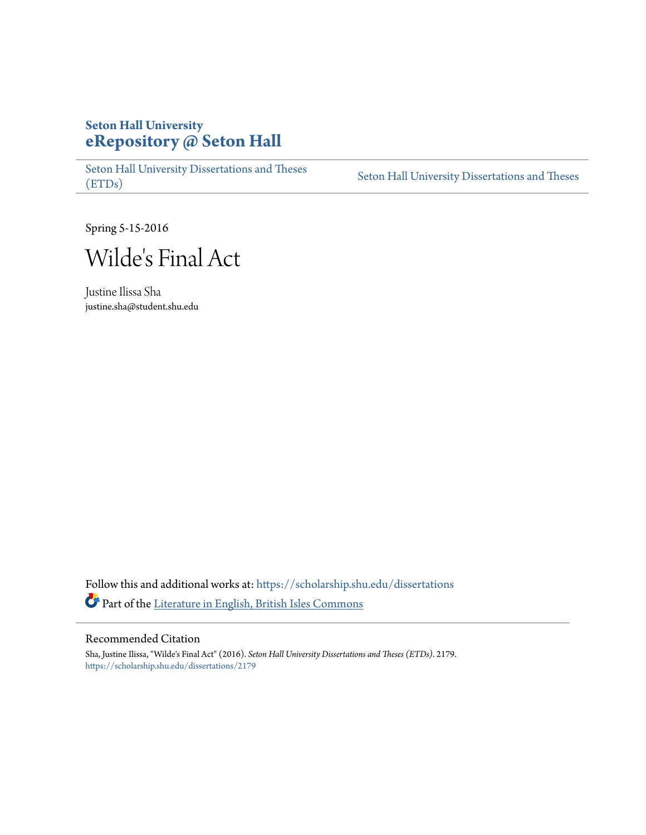## **Seton Hall University [eRepository @ Seton Hall](https://scholarship.shu.edu?utm_source=scholarship.shu.edu%2Fdissertations%2F2179&utm_medium=PDF&utm_campaign=PDFCoverPages)**

[Seton Hall University Dissertations and Theses](https://scholarship.shu.edu/dissertations?utm_source=scholarship.shu.edu%2Fdissertations%2F2179&utm_medium=PDF&utm_campaign=PDFCoverPages) [\(ETDs\)](https://scholarship.shu.edu/dissertations?utm_source=scholarship.shu.edu%2Fdissertations%2F2179&utm_medium=PDF&utm_campaign=PDFCoverPages)

[Seton Hall University Dissertations and Theses](https://scholarship.shu.edu/etds?utm_source=scholarship.shu.edu%2Fdissertations%2F2179&utm_medium=PDF&utm_campaign=PDFCoverPages)

Spring 5-15-2016



Justine Ilissa Sha justine.sha@student.shu.edu

Follow this and additional works at: [https://scholarship.shu.edu/dissertations](https://scholarship.shu.edu/dissertations?utm_source=scholarship.shu.edu%2Fdissertations%2F2179&utm_medium=PDF&utm_campaign=PDFCoverPages) Part of the [Literature in English, British Isles Commons](http://network.bepress.com/hgg/discipline/456?utm_source=scholarship.shu.edu%2Fdissertations%2F2179&utm_medium=PDF&utm_campaign=PDFCoverPages)

## Recommended Citation

Sha, Justine Ilissa, "Wilde's Final Act" (2016). *Seton Hall University Dissertations and Theses (ETDs)*. 2179. [https://scholarship.shu.edu/dissertations/2179](https://scholarship.shu.edu/dissertations/2179?utm_source=scholarship.shu.edu%2Fdissertations%2F2179&utm_medium=PDF&utm_campaign=PDFCoverPages)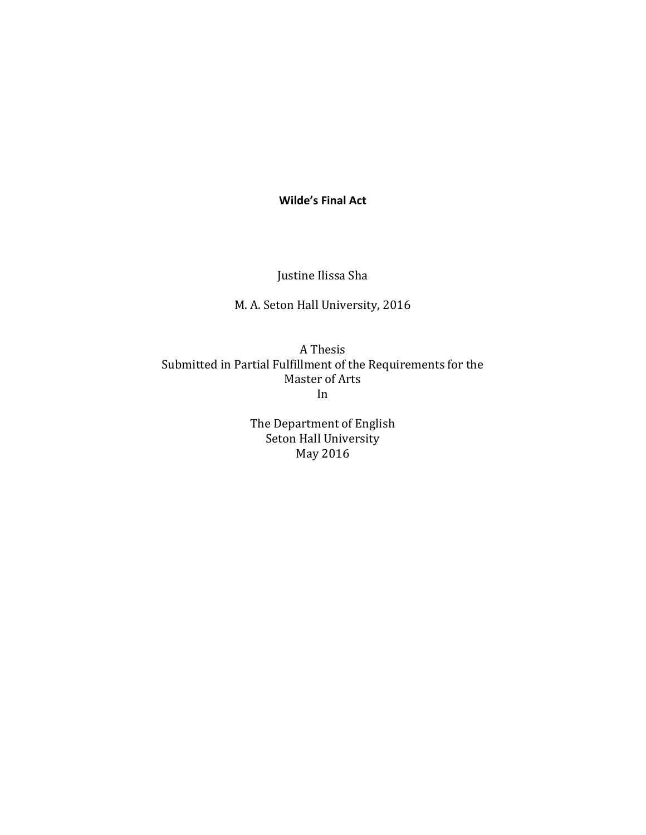**Wilde's Final Act**

Justine Ilissa Sha

M. A. Seton Hall University, 2016

A Thesis Submitted in Partial Fulfillment of the Requirements for the Master of Arts In

> The Department of English Seton Hall University May 2016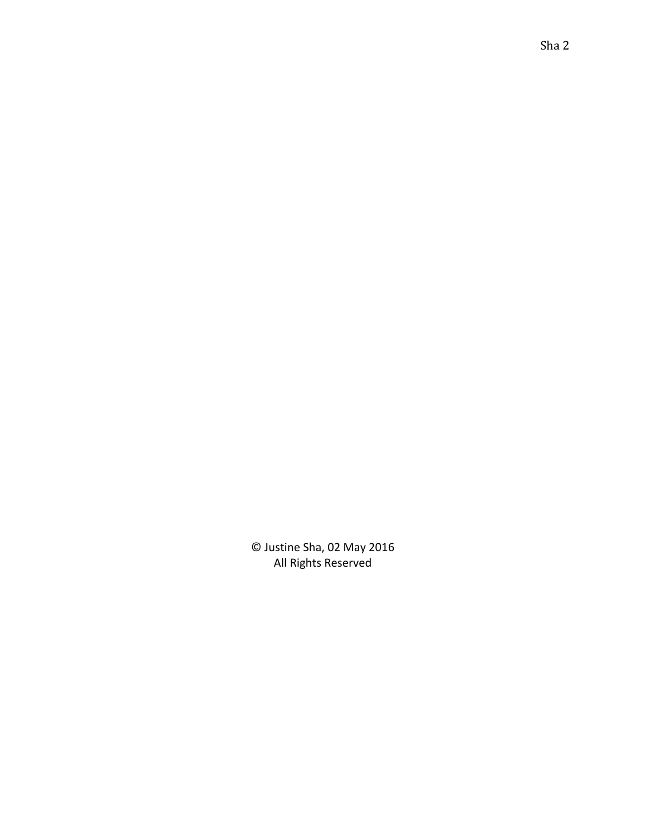© Justine Sha, 02 May 2016 All Rights Reserved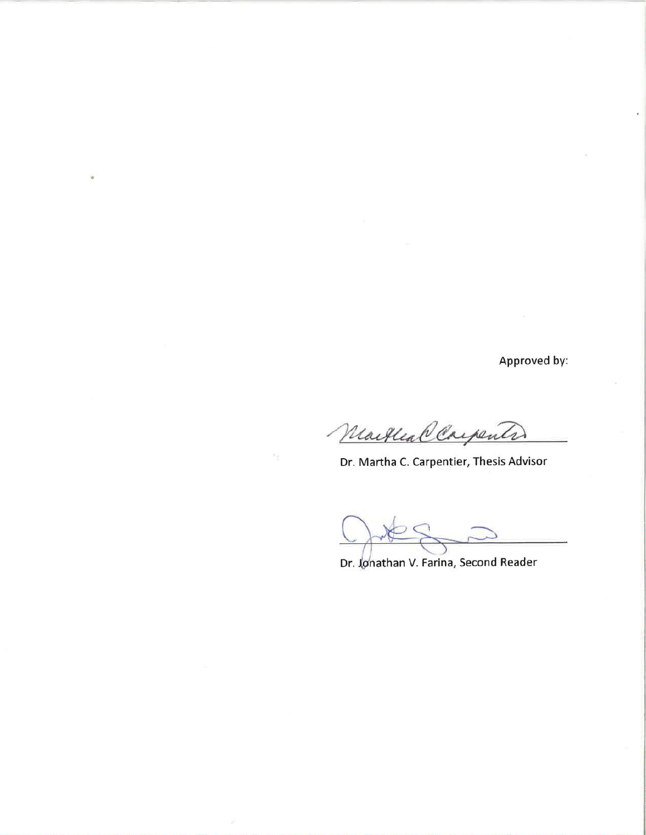Approved by:

Martleal Carpenter

Dr. Martha C. Carpentier, Thesis Advisor

Dr. Jonathan V. Farina, Second Reader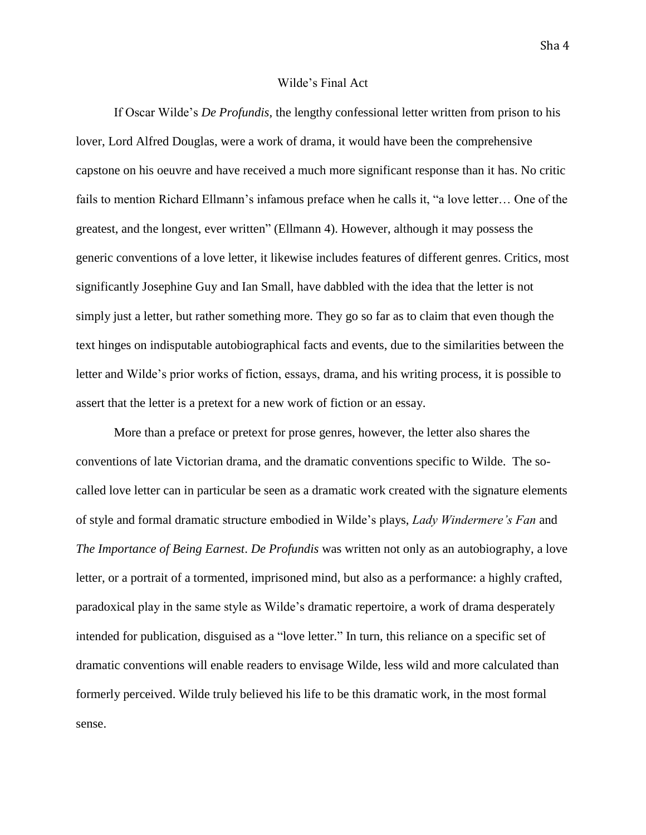## Wilde's Final Act

If Oscar Wilde's *De Profundis,* the lengthy confessional letter written from prison to his lover, Lord Alfred Douglas, were a work of drama, it would have been the comprehensive capstone on his oeuvre and have received a much more significant response than it has. No critic fails to mention Richard Ellmann's infamous preface when he calls it, "a love letter… One of the greatest, and the longest, ever written" (Ellmann 4). However, although it may possess the generic conventions of a love letter, it likewise includes features of different genres. Critics, most significantly Josephine Guy and Ian Small, have dabbled with the idea that the letter is not simply just a letter, but rather something more. They go so far as to claim that even though the text hinges on indisputable autobiographical facts and events, due to the similarities between the letter and Wilde's prior works of fiction, essays, drama, and his writing process, it is possible to assert that the letter is a pretext for a new work of fiction or an essay.

More than a preface or pretext for prose genres, however, the letter also shares the conventions of late Victorian drama, and the dramatic conventions specific to Wilde. The socalled love letter can in particular be seen as a dramatic work created with the signature elements of style and formal dramatic structure embodied in Wilde's plays, *Lady Windermere's Fan* and *The Importance of Being Earnest*. *De Profundis* was written not only as an autobiography, a love letter, or a portrait of a tormented, imprisoned mind, but also as a performance: a highly crafted, paradoxical play in the same style as Wilde's dramatic repertoire, a work of drama desperately intended for publication, disguised as a "love letter." In turn, this reliance on a specific set of dramatic conventions will enable readers to envisage Wilde, less wild and more calculated than formerly perceived. Wilde truly believed his life to be this dramatic work, in the most formal sense.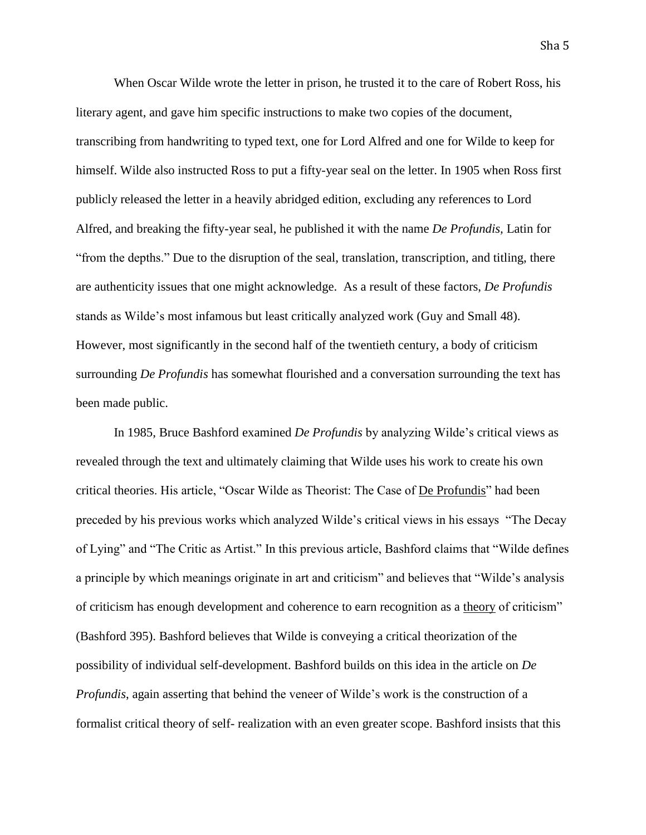When Oscar Wilde wrote the letter in prison, he trusted it to the care of Robert Ross, his literary agent, and gave him specific instructions to make two copies of the document, transcribing from handwriting to typed text, one for Lord Alfred and one for Wilde to keep for himself. Wilde also instructed Ross to put a fifty-year seal on the letter. In 1905 when Ross first publicly released the letter in a heavily abridged edition, excluding any references to Lord Alfred, and breaking the fifty-year seal, he published it with the name *De Profundis,* Latin for "from the depths." Due to the disruption of the seal, translation, transcription, and titling, there are authenticity issues that one might acknowledge. As a result of these factors, *De Profundis*  stands as Wilde's most infamous but least critically analyzed work (Guy and Small 48). However, most significantly in the second half of the twentieth century, a body of criticism surrounding *De Profundis* has somewhat flourished and a conversation surrounding the text has been made public.

In 1985, Bruce Bashford examined *De Profundis* by analyzing Wilde's critical views as revealed through the text and ultimately claiming that Wilde uses his work to create his own critical theories. His article, "Oscar Wilde as Theorist: The Case of De Profundis" had been preceded by his previous works which analyzed Wilde's critical views in his essays "The Decay of Lying" and "The Critic as Artist." In this previous article, Bashford claims that "Wilde defines a principle by which meanings originate in art and criticism" and believes that "Wilde's analysis of criticism has enough development and coherence to earn recognition as a theory of criticism" (Bashford 395). Bashford believes that Wilde is conveying a critical theorization of the possibility of individual self-development. Bashford builds on this idea in the article on *De Profundis*, again asserting that behind the veneer of Wilde's work is the construction of a formalist critical theory of self- realization with an even greater scope. Bashford insists that this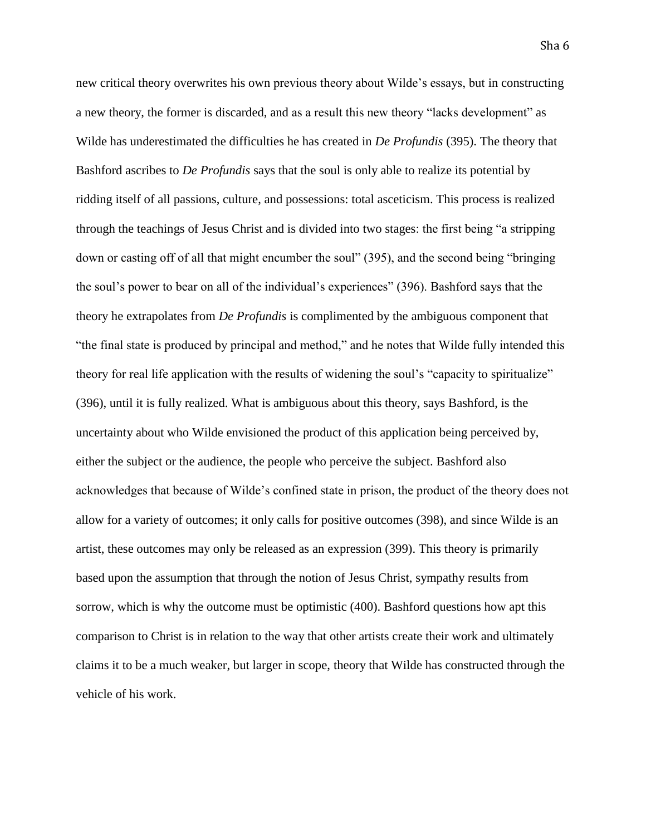new critical theory overwrites his own previous theory about Wilde's essays, but in constructing a new theory, the former is discarded, and as a result this new theory "lacks development" as Wilde has underestimated the difficulties he has created in *De Profundis* (395). The theory that Bashford ascribes to *De Profundis* says that the soul is only able to realize its potential by ridding itself of all passions, culture, and possessions: total asceticism. This process is realized through the teachings of Jesus Christ and is divided into two stages: the first being "a stripping down or casting off of all that might encumber the soul" (395), and the second being "bringing the soul's power to bear on all of the individual's experiences" (396). Bashford says that the theory he extrapolates from *De Profundis* is complimented by the ambiguous component that "the final state is produced by principal and method," and he notes that Wilde fully intended this theory for real life application with the results of widening the soul's "capacity to spiritualize" (396), until it is fully realized. What is ambiguous about this theory, says Bashford, is the uncertainty about who Wilde envisioned the product of this application being perceived by, either the subject or the audience, the people who perceive the subject. Bashford also acknowledges that because of Wilde's confined state in prison, the product of the theory does not allow for a variety of outcomes; it only calls for positive outcomes (398), and since Wilde is an artist, these outcomes may only be released as an expression (399). This theory is primarily based upon the assumption that through the notion of Jesus Christ, sympathy results from sorrow, which is why the outcome must be optimistic (400). Bashford questions how apt this comparison to Christ is in relation to the way that other artists create their work and ultimately claims it to be a much weaker, but larger in scope, theory that Wilde has constructed through the vehicle of his work.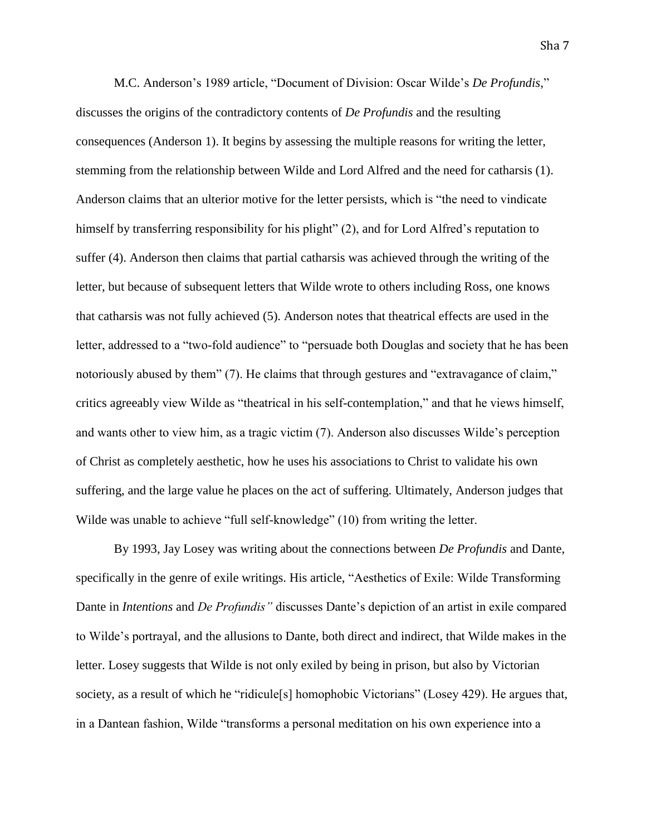M.C. Anderson's 1989 article, "Document of Division: Oscar Wilde's *De Profundis,*" discusses the origins of the contradictory contents of *De Profundis* and the resulting consequences (Anderson 1). It begins by assessing the multiple reasons for writing the letter, stemming from the relationship between Wilde and Lord Alfred and the need for catharsis (1). Anderson claims that an ulterior motive for the letter persists, which is "the need to vindicate himself by transferring responsibility for his plight" (2), and for Lord Alfred's reputation to suffer (4). Anderson then claims that partial catharsis was achieved through the writing of the letter, but because of subsequent letters that Wilde wrote to others including Ross, one knows that catharsis was not fully achieved (5). Anderson notes that theatrical effects are used in the letter, addressed to a "two-fold audience" to "persuade both Douglas and society that he has been notoriously abused by them" (7). He claims that through gestures and "extravagance of claim," critics agreeably view Wilde as "theatrical in his self-contemplation," and that he views himself, and wants other to view him, as a tragic victim (7). Anderson also discusses Wilde's perception of Christ as completely aesthetic, how he uses his associations to Christ to validate his own suffering, and the large value he places on the act of suffering. Ultimately, Anderson judges that Wilde was unable to achieve "full self-knowledge" (10) from writing the letter.

By 1993, Jay Losey was writing about the connections between *De Profundis* and Dante, specifically in the genre of exile writings. His article, "Aesthetics of Exile: Wilde Transforming Dante in *Intentions* and *De Profundis"* discusses Dante's depiction of an artist in exile compared to Wilde's portrayal, and the allusions to Dante, both direct and indirect, that Wilde makes in the letter. Losey suggests that Wilde is not only exiled by being in prison, but also by Victorian society, as a result of which he "ridicule[s] homophobic Victorians" (Losey 429). He argues that, in a Dantean fashion, Wilde "transforms a personal meditation on his own experience into a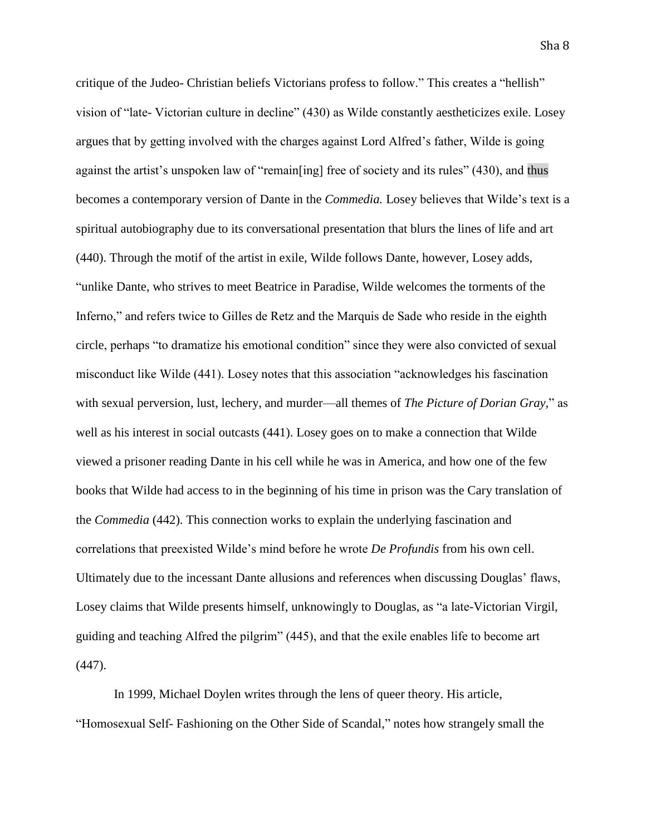critique of the Judeo- Christian beliefs Victorians profess to follow." This creates a "hellish" vision of "late- Victorian culture in decline" (430) as Wilde constantly aestheticizes exile. Losey argues that by getting involved with the charges against Lord Alfred's father, Wilde is going against the artist's unspoken law of "remain[ing] free of society and its rules" (430), and thus becomes a contemporary version of Dante in the *Commedia.* Losey believes that Wilde's text is a spiritual autobiography due to its conversational presentation that blurs the lines of life and art (440). Through the motif of the artist in exile, Wilde follows Dante, however, Losey adds, "unlike Dante, who strives to meet Beatrice in Paradise, Wilde welcomes the torments of the Inferno," and refers twice to Gilles de Retz and the Marquis de Sade who reside in the eighth circle, perhaps "to dramatize his emotional condition" since they were also convicted of sexual misconduct like Wilde (441). Losey notes that this association "acknowledges his fascination with sexual perversion, lust, lechery, and murder—all themes of *The Picture of Dorian Gray,*" as well as his interest in social outcasts (441). Losey goes on to make a connection that Wilde viewed a prisoner reading Dante in his cell while he was in America, and how one of the few books that Wilde had access to in the beginning of his time in prison was the Cary translation of the *Commedia* (442). This connection works to explain the underlying fascination and correlations that preexisted Wilde's mind before he wrote *De Profundis* from his own cell. Ultimately due to the incessant Dante allusions and references when discussing Douglas' flaws, Losey claims that Wilde presents himself, unknowingly to Douglas, as "a late-Victorian Virgil, guiding and teaching Alfred the pilgrim" (445), and that the exile enables life to become art (447).

In 1999, Michael Doylen writes through the lens of queer theory. His article, "Homosexual Self- Fashioning on the Other Side of Scandal," notes how strangely small the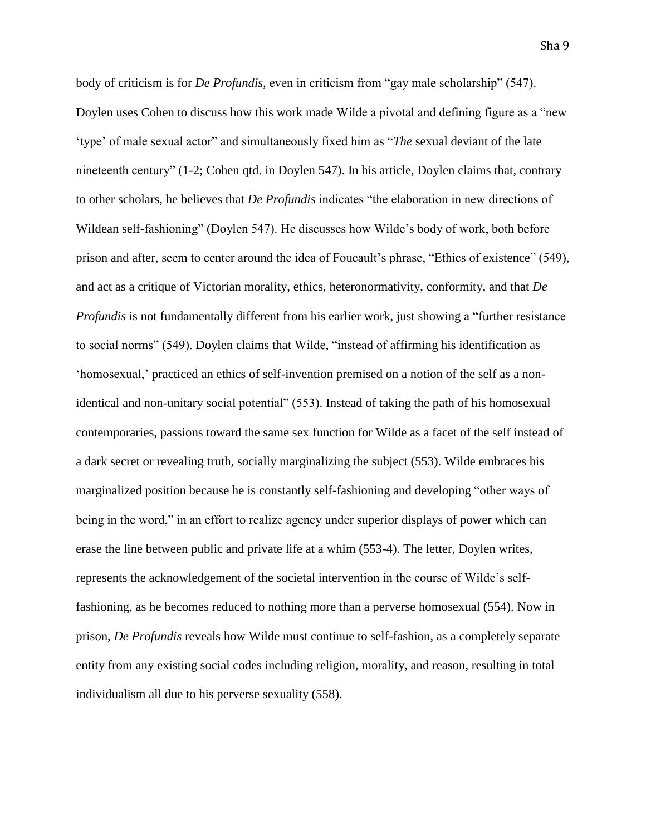body of criticism is for *De Profundis,* even in criticism from "gay male scholarship" (547). Doylen uses Cohen to discuss how this work made Wilde a pivotal and defining figure as a "new 'type' of male sexual actor" and simultaneously fixed him as "*The* sexual deviant of the late nineteenth century" (1-2; Cohen qtd. in Doylen 547). In his article, Doylen claims that, contrary to other scholars, he believes that *De Profundis* indicates "the elaboration in new directions of Wildean self-fashioning" (Doylen 547). He discusses how Wilde's body of work, both before prison and after, seem to center around the idea of Foucault's phrase, "Ethics of existence" (549), and act as a critique of Victorian morality, ethics, heteronormativity, conformity, and that *De Profundis* is not fundamentally different from his earlier work, just showing a "further resistance" to social norms" (549). Doylen claims that Wilde, "instead of affirming his identification as 'homosexual,' practiced an ethics of self-invention premised on a notion of the self as a nonidentical and non-unitary social potential" (553). Instead of taking the path of his homosexual contemporaries, passions toward the same sex function for Wilde as a facet of the self instead of a dark secret or revealing truth, socially marginalizing the subject (553). Wilde embraces his marginalized position because he is constantly self-fashioning and developing "other ways of being in the word," in an effort to realize agency under superior displays of power which can erase the line between public and private life at a whim (553-4). The letter, Doylen writes, represents the acknowledgement of the societal intervention in the course of Wilde's selffashioning, as he becomes reduced to nothing more than a perverse homosexual (554). Now in prison, *De Profundis* reveals how Wilde must continue to self-fashion, as a completely separate entity from any existing social codes including religion, morality, and reason, resulting in total individualism all due to his perverse sexuality (558).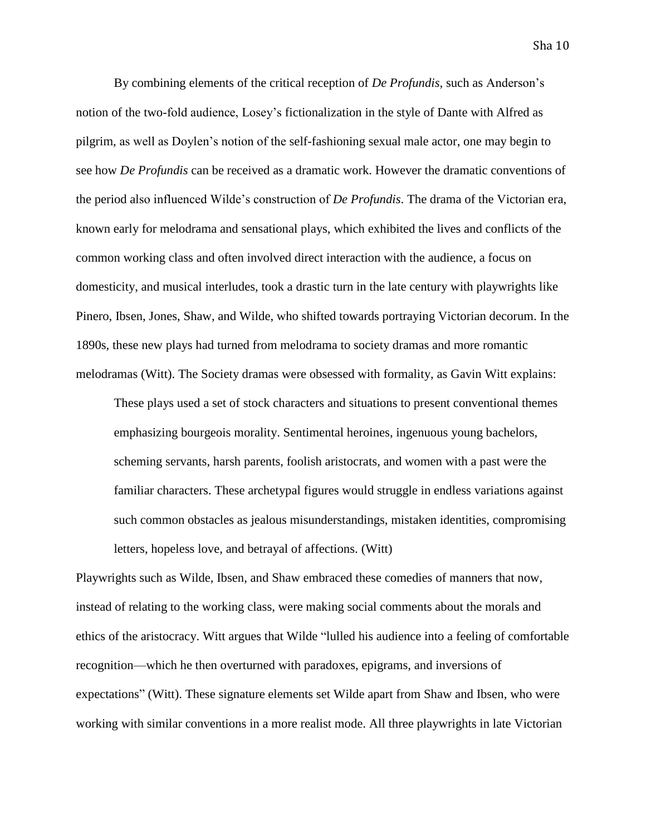By combining elements of the critical reception of *De Profundis,* such as Anderson's notion of the two-fold audience, Losey's fictionalization in the style of Dante with Alfred as pilgrim, as well as Doylen's notion of the self-fashioning sexual male actor, one may begin to see how *De Profundis* can be received as a dramatic work. However the dramatic conventions of the period also influenced Wilde's construction of *De Profundis*. The drama of the Victorian era, known early for melodrama and sensational plays, which exhibited the lives and conflicts of the common working class and often involved direct interaction with the audience, a focus on domesticity, and musical interludes, took a drastic turn in the late century with playwrights like Pinero, Ibsen, Jones, Shaw, and Wilde, who shifted towards portraying Victorian decorum. In the 1890s, these new plays had turned from melodrama to society dramas and more romantic melodramas (Witt). The Society dramas were obsessed with formality, as Gavin Witt explains:

These plays used a set of stock characters and situations to present conventional themes emphasizing bourgeois morality. Sentimental heroines, ingenuous young bachelors, scheming servants, harsh parents, foolish aristocrats, and women with a past were the familiar characters. These archetypal figures would struggle in endless variations against such common obstacles as jealous misunderstandings, mistaken identities, compromising letters, hopeless love, and betrayal of affections. (Witt)

Playwrights such as Wilde, Ibsen, and Shaw embraced these comedies of manners that now, instead of relating to the working class, were making social comments about the morals and ethics of the aristocracy. Witt argues that Wilde "lulled his audience into a feeling of comfortable recognition—which he then overturned with paradoxes, epigrams, and inversions of expectations" (Witt). These signature elements set Wilde apart from Shaw and Ibsen, who were working with similar conventions in a more realist mode. All three playwrights in late Victorian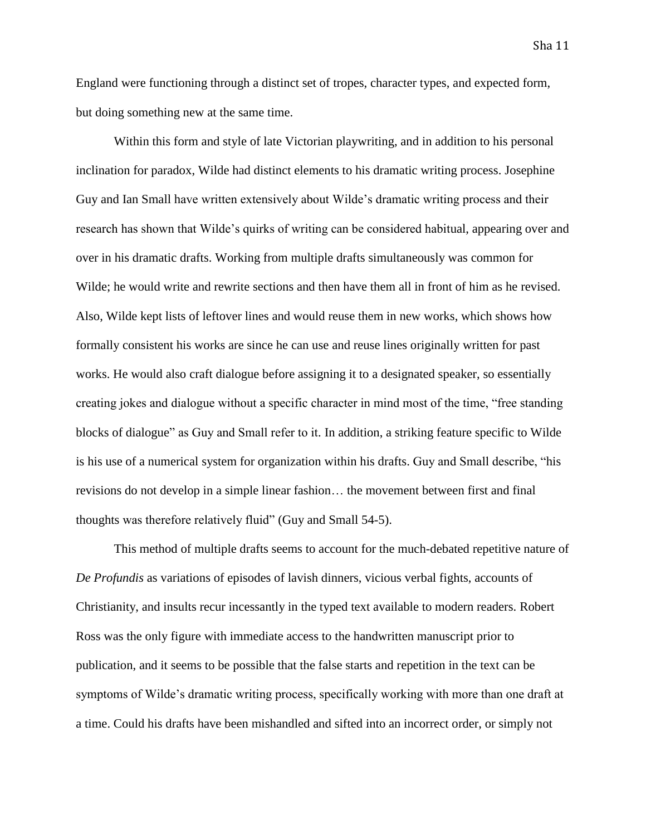England were functioning through a distinct set of tropes, character types, and expected form, but doing something new at the same time.

Within this form and style of late Victorian playwriting, and in addition to his personal inclination for paradox, Wilde had distinct elements to his dramatic writing process. Josephine Guy and Ian Small have written extensively about Wilde's dramatic writing process and their research has shown that Wilde's quirks of writing can be considered habitual, appearing over and over in his dramatic drafts. Working from multiple drafts simultaneously was common for Wilde; he would write and rewrite sections and then have them all in front of him as he revised. Also, Wilde kept lists of leftover lines and would reuse them in new works, which shows how formally consistent his works are since he can use and reuse lines originally written for past works. He would also craft dialogue before assigning it to a designated speaker, so essentially creating jokes and dialogue without a specific character in mind most of the time, "free standing blocks of dialogue" as Guy and Small refer to it. In addition, a striking feature specific to Wilde is his use of a numerical system for organization within his drafts. Guy and Small describe, "his revisions do not develop in a simple linear fashion… the movement between first and final thoughts was therefore relatively fluid" (Guy and Small 54-5).

This method of multiple drafts seems to account for the much-debated repetitive nature of *De Profundis* as variations of episodes of lavish dinners, vicious verbal fights, accounts of Christianity, and insults recur incessantly in the typed text available to modern readers. Robert Ross was the only figure with immediate access to the handwritten manuscript prior to publication, and it seems to be possible that the false starts and repetition in the text can be symptoms of Wilde's dramatic writing process, specifically working with more than one draft at a time. Could his drafts have been mishandled and sifted into an incorrect order, or simply not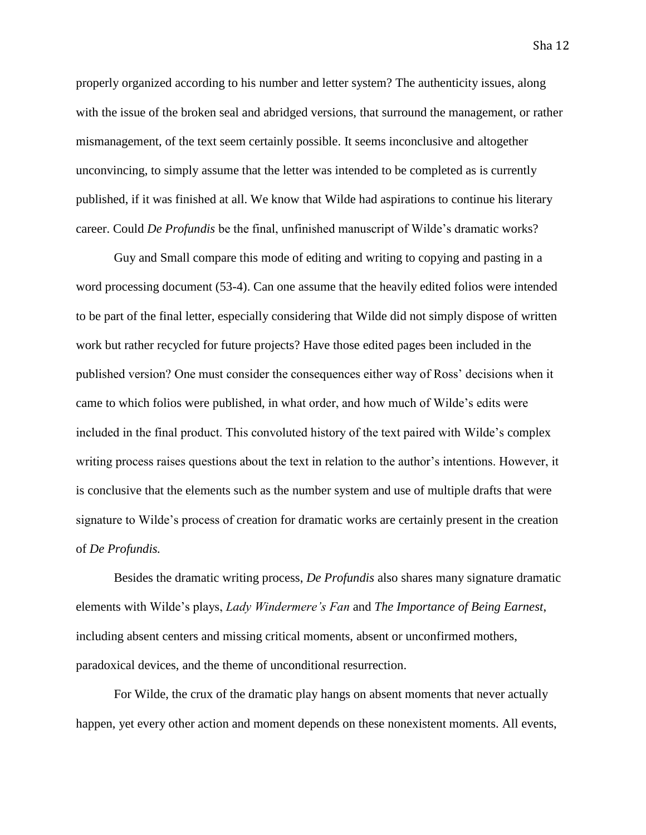properly organized according to his number and letter system? The authenticity issues, along with the issue of the broken seal and abridged versions, that surround the management, or rather mismanagement, of the text seem certainly possible. It seems inconclusive and altogether unconvincing, to simply assume that the letter was intended to be completed as is currently published, if it was finished at all. We know that Wilde had aspirations to continue his literary career. Could *De Profundis* be the final, unfinished manuscript of Wilde's dramatic works?

Guy and Small compare this mode of editing and writing to copying and pasting in a word processing document (53-4). Can one assume that the heavily edited folios were intended to be part of the final letter, especially considering that Wilde did not simply dispose of written work but rather recycled for future projects? Have those edited pages been included in the published version? One must consider the consequences either way of Ross' decisions when it came to which folios were published, in what order, and how much of Wilde's edits were included in the final product. This convoluted history of the text paired with Wilde's complex writing process raises questions about the text in relation to the author's intentions. However, it is conclusive that the elements such as the number system and use of multiple drafts that were signature to Wilde's process of creation for dramatic works are certainly present in the creation of *De Profundis.* 

Besides the dramatic writing process, *De Profundis* also shares many signature dramatic elements with Wilde's plays, *Lady Windermere's Fan* and *The Importance of Being Earnest*, including absent centers and missing critical moments, absent or unconfirmed mothers, paradoxical devices, and the theme of unconditional resurrection.

For Wilde, the crux of the dramatic play hangs on absent moments that never actually happen, yet every other action and moment depends on these nonexistent moments. All events,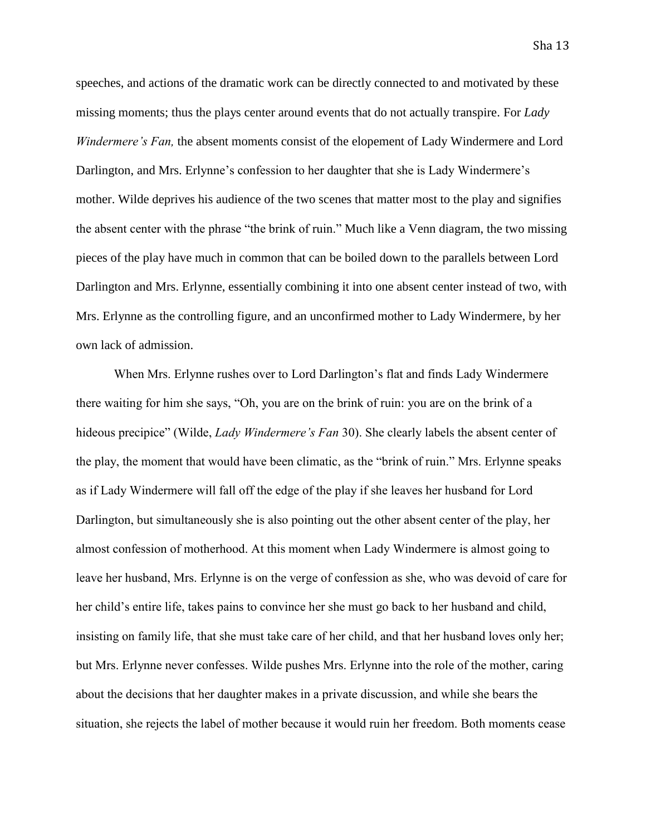speeches, and actions of the dramatic work can be directly connected to and motivated by these missing moments; thus the plays center around events that do not actually transpire. For *Lady Windermere's Fan,* the absent moments consist of the elopement of Lady Windermere and Lord Darlington, and Mrs. Erlynne's confession to her daughter that she is Lady Windermere's mother. Wilde deprives his audience of the two scenes that matter most to the play and signifies the absent center with the phrase "the brink of ruin." Much like a Venn diagram, the two missing pieces of the play have much in common that can be boiled down to the parallels between Lord Darlington and Mrs. Erlynne, essentially combining it into one absent center instead of two, with Mrs. Erlynne as the controlling figure, and an unconfirmed mother to Lady Windermere, by her own lack of admission.

When Mrs. Erlynne rushes over to Lord Darlington's flat and finds Lady Windermere there waiting for him she says, "Oh, you are on the brink of ruin: you are on the brink of a hideous precipice" (Wilde, *Lady Windermere's Fan* 30). She clearly labels the absent center of the play, the moment that would have been climatic, as the "brink of ruin." Mrs. Erlynne speaks as if Lady Windermere will fall off the edge of the play if she leaves her husband for Lord Darlington, but simultaneously she is also pointing out the other absent center of the play, her almost confession of motherhood. At this moment when Lady Windermere is almost going to leave her husband, Mrs. Erlynne is on the verge of confession as she, who was devoid of care for her child's entire life, takes pains to convince her she must go back to her husband and child, insisting on family life, that she must take care of her child, and that her husband loves only her; but Mrs. Erlynne never confesses. Wilde pushes Mrs. Erlynne into the role of the mother, caring about the decisions that her daughter makes in a private discussion, and while she bears the situation, she rejects the label of mother because it would ruin her freedom. Both moments cease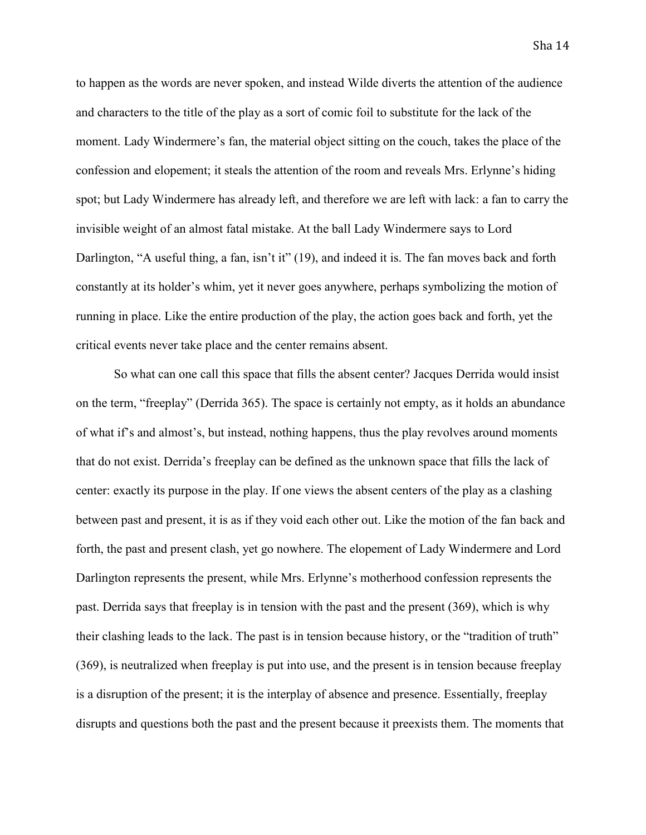to happen as the words are never spoken, and instead Wilde diverts the attention of the audience and characters to the title of the play as a sort of comic foil to substitute for the lack of the moment. Lady Windermere's fan, the material object sitting on the couch, takes the place of the confession and elopement; it steals the attention of the room and reveals Mrs. Erlynne's hiding spot; but Lady Windermere has already left, and therefore we are left with lack: a fan to carry the invisible weight of an almost fatal mistake. At the ball Lady Windermere says to Lord Darlington, "A useful thing, a fan, isn't it" (19), and indeed it is. The fan moves back and forth constantly at its holder's whim, yet it never goes anywhere, perhaps symbolizing the motion of running in place. Like the entire production of the play, the action goes back and forth, yet the critical events never take place and the center remains absent.

So what can one call this space that fills the absent center? Jacques Derrida would insist on the term, "freeplay" (Derrida 365). The space is certainly not empty, as it holds an abundance of what if's and almost's, but instead, nothing happens, thus the play revolves around moments that do not exist. Derrida's freeplay can be defined as the unknown space that fills the lack of center: exactly its purpose in the play. If one views the absent centers of the play as a clashing between past and present, it is as if they void each other out. Like the motion of the fan back and forth, the past and present clash, yet go nowhere. The elopement of Lady Windermere and Lord Darlington represents the present, while Mrs. Erlynne's motherhood confession represents the past. Derrida says that freeplay is in tension with the past and the present (369), which is why their clashing leads to the lack. The past is in tension because history, or the "tradition of truth" (369), is neutralized when freeplay is put into use, and the present is in tension because freeplay is a disruption of the present; it is the interplay of absence and presence. Essentially, freeplay disrupts and questions both the past and the present because it preexists them. The moments that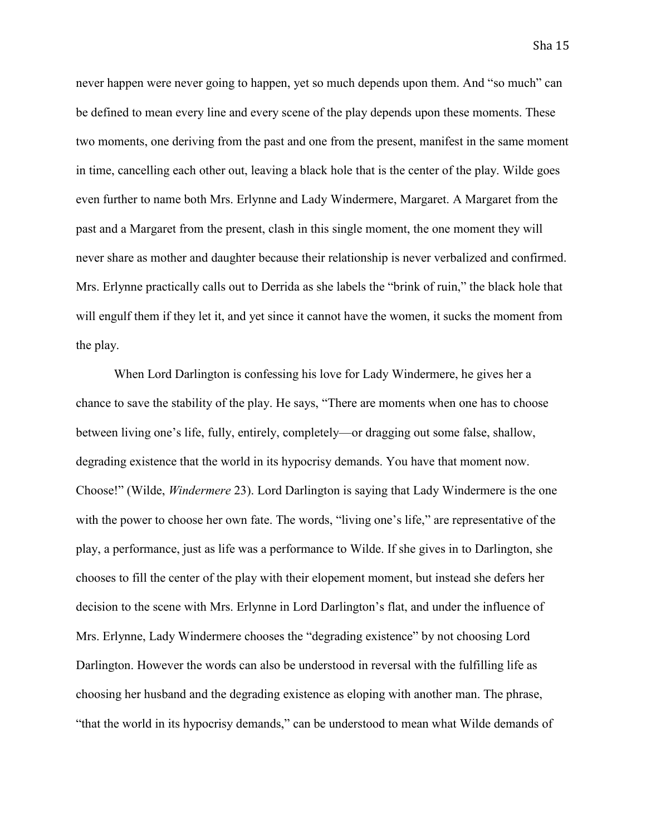never happen were never going to happen, yet so much depends upon them. And "so much" can be defined to mean every line and every scene of the play depends upon these moments. These two moments, one deriving from the past and one from the present, manifest in the same moment in time, cancelling each other out, leaving a black hole that is the center of the play. Wilde goes even further to name both Mrs. Erlynne and Lady Windermere, Margaret. A Margaret from the past and a Margaret from the present, clash in this single moment, the one moment they will never share as mother and daughter because their relationship is never verbalized and confirmed. Mrs. Erlynne practically calls out to Derrida as she labels the "brink of ruin," the black hole that will engulf them if they let it, and yet since it cannot have the women, it sucks the moment from the play.

When Lord Darlington is confessing his love for Lady Windermere, he gives her a chance to save the stability of the play. He says, "There are moments when one has to choose between living one's life, fully, entirely, completely—or dragging out some false, shallow, degrading existence that the world in its hypocrisy demands. You have that moment now. Choose!" (Wilde, *Windermere* 23). Lord Darlington is saying that Lady Windermere is the one with the power to choose her own fate. The words, "living one's life," are representative of the play, a performance, just as life was a performance to Wilde. If she gives in to Darlington, she chooses to fill the center of the play with their elopement moment, but instead she defers her decision to the scene with Mrs. Erlynne in Lord Darlington's flat, and under the influence of Mrs. Erlynne, Lady Windermere chooses the "degrading existence" by not choosing Lord Darlington. However the words can also be understood in reversal with the fulfilling life as choosing her husband and the degrading existence as eloping with another man. The phrase, "that the world in its hypocrisy demands," can be understood to mean what Wilde demands of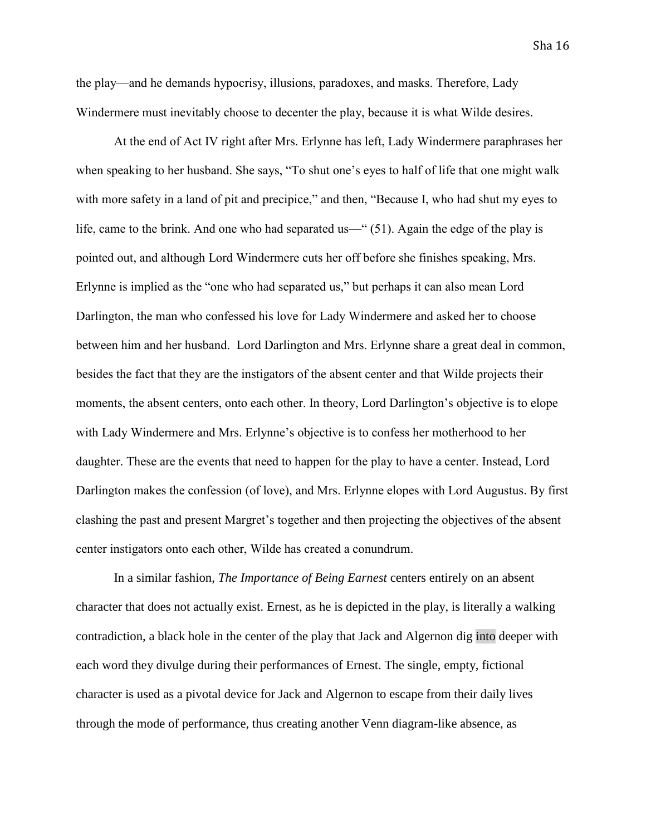Sha 16

the play—and he demands hypocrisy, illusions, paradoxes, and masks. Therefore, Lady Windermere must inevitably choose to decenter the play, because it is what Wilde desires.

At the end of Act IV right after Mrs. Erlynne has left, Lady Windermere paraphrases her when speaking to her husband. She says, "To shut one's eyes to half of life that one might walk with more safety in a land of pit and precipice," and then, "Because I, who had shut my eyes to life, came to the brink. And one who had separated us—" (51). Again the edge of the play is pointed out, and although Lord Windermere cuts her off before she finishes speaking, Mrs. Erlynne is implied as the "one who had separated us," but perhaps it can also mean Lord Darlington, the man who confessed his love for Lady Windermere and asked her to choose between him and her husband. Lord Darlington and Mrs. Erlynne share a great deal in common, besides the fact that they are the instigators of the absent center and that Wilde projects their moments, the absent centers, onto each other. In theory, Lord Darlington's objective is to elope with Lady Windermere and Mrs. Erlynne's objective is to confess her motherhood to her daughter. These are the events that need to happen for the play to have a center. Instead, Lord Darlington makes the confession (of love), and Mrs. Erlynne elopes with Lord Augustus. By first clashing the past and present Margret's together and then projecting the objectives of the absent center instigators onto each other, Wilde has created a conundrum.

In a similar fashion, *The Importance of Being Earnest* centers entirely on an absent character that does not actually exist. Ernest, as he is depicted in the play, is literally a walking contradiction, a black hole in the center of the play that Jack and Algernon dig into deeper with each word they divulge during their performances of Ernest. The single, empty, fictional character is used as a pivotal device for Jack and Algernon to escape from their daily lives through the mode of performance, thus creating another Venn diagram-like absence, as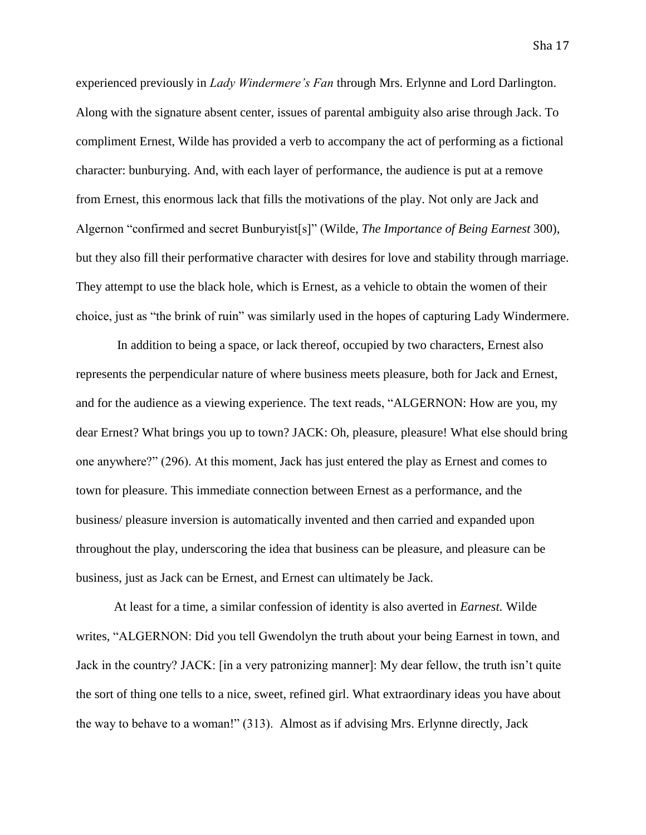experienced previously in *Lady Windermere's Fan* through Mrs. Erlynne and Lord Darlington. Along with the signature absent center, issues of parental ambiguity also arise through Jack. To compliment Ernest, Wilde has provided a verb to accompany the act of performing as a fictional character: bunburying. And, with each layer of performance, the audience is put at a remove from Ernest, this enormous lack that fills the motivations of the play. Not only are Jack and Algernon "confirmed and secret Bunburyist[s]" (Wilde, *The Importance of Being Earnest* 300), but they also fill their performative character with desires for love and stability through marriage. They attempt to use the black hole, which is Ernest, as a vehicle to obtain the women of their choice, just as "the brink of ruin" was similarly used in the hopes of capturing Lady Windermere.

In addition to being a space, or lack thereof, occupied by two characters, Ernest also represents the perpendicular nature of where business meets pleasure, both for Jack and Ernest, and for the audience as a viewing experience. The text reads, "ALGERNON: How are you, my dear Ernest? What brings you up to town? JACK: Oh, pleasure, pleasure! What else should bring one anywhere?" (296). At this moment, Jack has just entered the play as Ernest and comes to town for pleasure. This immediate connection between Ernest as a performance, and the business/ pleasure inversion is automatically invented and then carried and expanded upon throughout the play, underscoring the idea that business can be pleasure, and pleasure can be business, just as Jack can be Ernest, and Ernest can ultimately be Jack.

At least for a time, a similar confession of identity is also averted in *Earnest.* Wilde writes, "ALGERNON: Did you tell Gwendolyn the truth about your being Earnest in town, and Jack in the country? JACK: [in a very patronizing manner]: My dear fellow, the truth isn't quite the sort of thing one tells to a nice, sweet, refined girl. What extraordinary ideas you have about the way to behave to a woman!" (313). Almost as if advising Mrs. Erlynne directly, Jack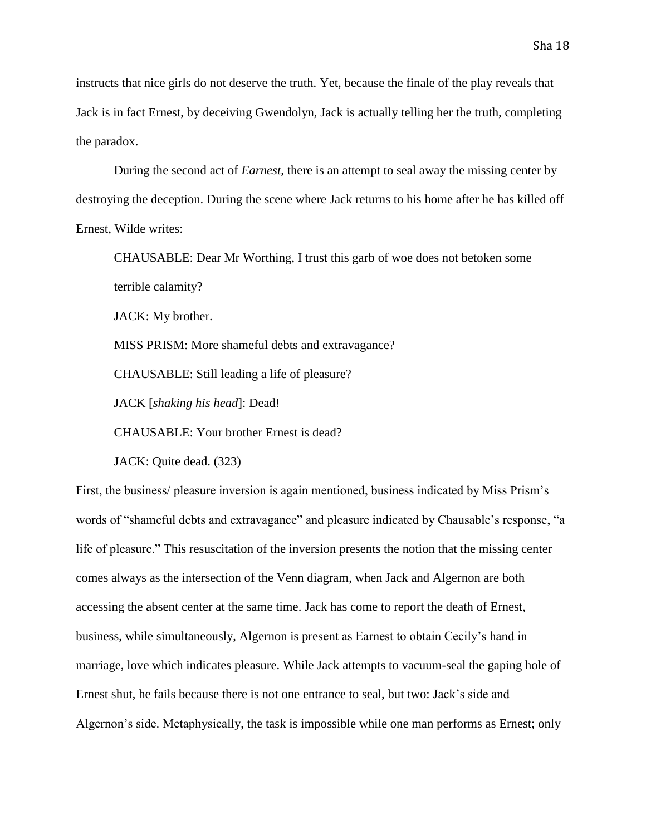instructs that nice girls do not deserve the truth. Yet, because the finale of the play reveals that Jack is in fact Ernest, by deceiving Gwendolyn, Jack is actually telling her the truth, completing the paradox.

During the second act of *Earnest,* there is an attempt to seal away the missing center by destroying the deception. During the scene where Jack returns to his home after he has killed off Ernest, Wilde writes:

CHAUSABLE: Dear Mr Worthing, I trust this garb of woe does not betoken some terrible calamity?

JACK: My brother.

MISS PRISM: More shameful debts and extravagance?

CHAUSABLE: Still leading a life of pleasure?

JACK [*shaking his head*]: Dead!

CHAUSABLE: Your brother Ernest is dead?

JACK: Quite dead. (323)

First, the business/ pleasure inversion is again mentioned, business indicated by Miss Prism's words of "shameful debts and extravagance" and pleasure indicated by Chausable's response, "a life of pleasure." This resuscitation of the inversion presents the notion that the missing center comes always as the intersection of the Venn diagram, when Jack and Algernon are both accessing the absent center at the same time. Jack has come to report the death of Ernest, business, while simultaneously, Algernon is present as Earnest to obtain Cecily's hand in marriage, love which indicates pleasure. While Jack attempts to vacuum-seal the gaping hole of Ernest shut, he fails because there is not one entrance to seal, but two: Jack's side and Algernon's side. Metaphysically, the task is impossible while one man performs as Ernest; only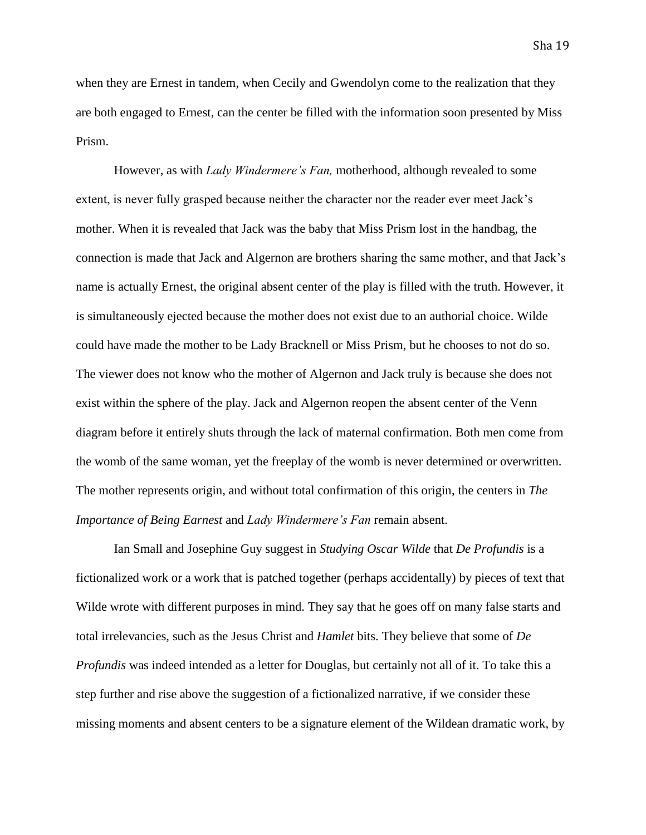when they are Ernest in tandem, when Cecily and Gwendolyn come to the realization that they are both engaged to Ernest, can the center be filled with the information soon presented by Miss Prism.

However, as with *Lady Windermere's Fan,* motherhood, although revealed to some extent, is never fully grasped because neither the character nor the reader ever meet Jack's mother. When it is revealed that Jack was the baby that Miss Prism lost in the handbag, the connection is made that Jack and Algernon are brothers sharing the same mother, and that Jack's name is actually Ernest, the original absent center of the play is filled with the truth. However, it is simultaneously ejected because the mother does not exist due to an authorial choice. Wilde could have made the mother to be Lady Bracknell or Miss Prism, but he chooses to not do so. The viewer does not know who the mother of Algernon and Jack truly is because she does not exist within the sphere of the play. Jack and Algernon reopen the absent center of the Venn diagram before it entirely shuts through the lack of maternal confirmation. Both men come from the womb of the same woman, yet the freeplay of the womb is never determined or overwritten. The mother represents origin, and without total confirmation of this origin, the centers in *The Importance of Being Earnest* and *Lady Windermere's Fan* remain absent.

Ian Small and Josephine Guy suggest in *Studying Oscar Wilde* that *De Profundis* is a fictionalized work or a work that is patched together (perhaps accidentally) by pieces of text that Wilde wrote with different purposes in mind. They say that he goes off on many false starts and total irrelevancies, such as the Jesus Christ and *Hamlet* bits. They believe that some of *De Profundis* was indeed intended as a letter for Douglas, but certainly not all of it. To take this a step further and rise above the suggestion of a fictionalized narrative, if we consider these missing moments and absent centers to be a signature element of the Wildean dramatic work, by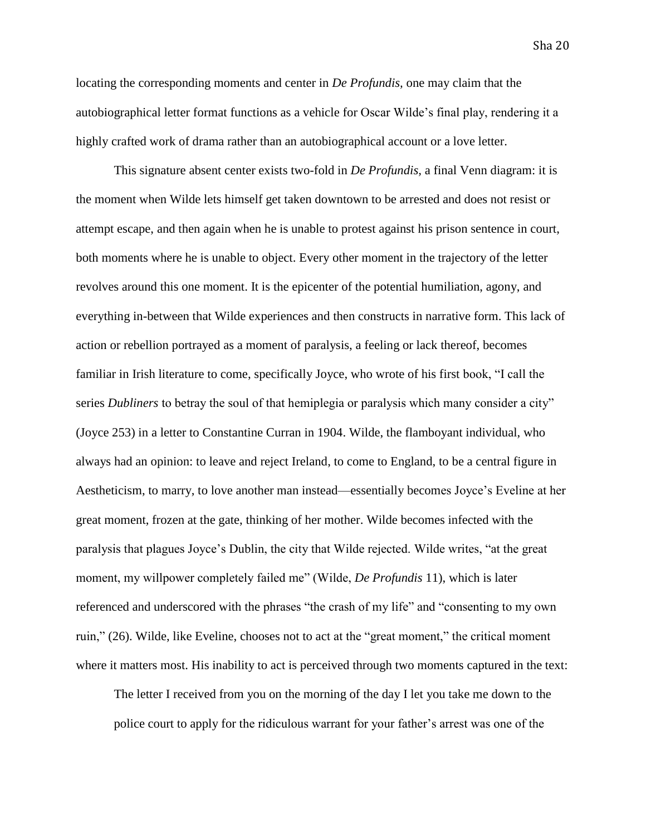Sha 20

locating the corresponding moments and center in *De Profundis,* one may claim that the autobiographical letter format functions as a vehicle for Oscar Wilde's final play, rendering it a highly crafted work of drama rather than an autobiographical account or a love letter.

This signature absent center exists two-fold in *De Profundis,* a final Venn diagram: it is the moment when Wilde lets himself get taken downtown to be arrested and does not resist or attempt escape, and then again when he is unable to protest against his prison sentence in court, both moments where he is unable to object. Every other moment in the trajectory of the letter revolves around this one moment. It is the epicenter of the potential humiliation, agony, and everything in-between that Wilde experiences and then constructs in narrative form. This lack of action or rebellion portrayed as a moment of paralysis, a feeling or lack thereof, becomes familiar in Irish literature to come, specifically Joyce, who wrote of his first book, "I call the series *Dubliners* to betray the soul of that hemiplegia or paralysis which many consider a city" (Joyce 253) in a letter to Constantine Curran in 1904. Wilde, the flamboyant individual, who always had an opinion: to leave and reject Ireland, to come to England, to be a central figure in Aestheticism, to marry, to love another man instead—essentially becomes Joyce's Eveline at her great moment, frozen at the gate, thinking of her mother. Wilde becomes infected with the paralysis that plagues Joyce's Dublin, the city that Wilde rejected. Wilde writes, "at the great moment, my willpower completely failed me" (Wilde, *De Profundis* 11), which is later referenced and underscored with the phrases "the crash of my life" and "consenting to my own ruin," (26). Wilde, like Eveline, chooses not to act at the "great moment," the critical moment where it matters most. His inability to act is perceived through two moments captured in the text:

The letter I received from you on the morning of the day I let you take me down to the police court to apply for the ridiculous warrant for your father's arrest was one of the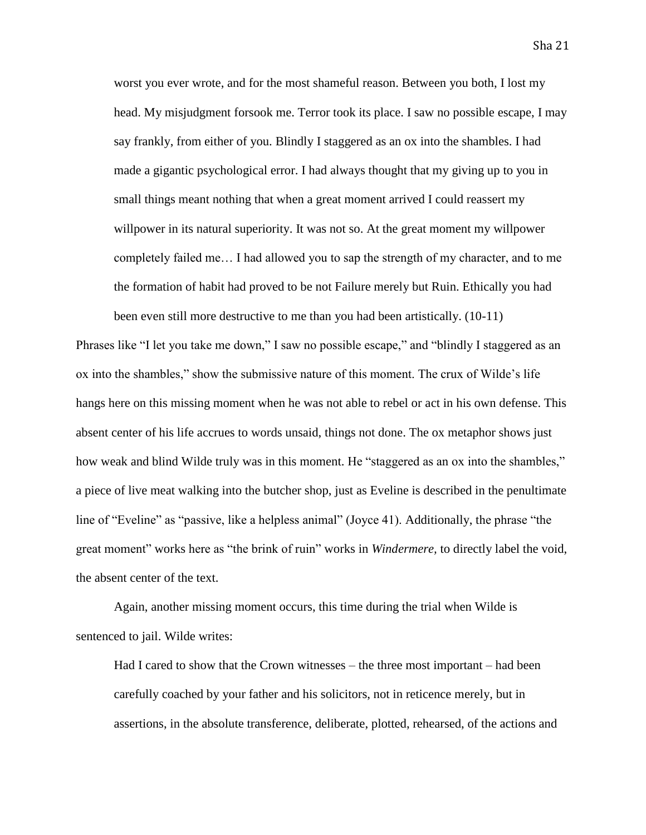worst you ever wrote, and for the most shameful reason. Between you both, I lost my head. My misjudgment forsook me. Terror took its place. I saw no possible escape, I may say frankly, from either of you. Blindly I staggered as an ox into the shambles. I had made a gigantic psychological error. I had always thought that my giving up to you in small things meant nothing that when a great moment arrived I could reassert my willpower in its natural superiority. It was not so. At the great moment my willpower completely failed me… I had allowed you to sap the strength of my character, and to me the formation of habit had proved to be not Failure merely but Ruin. Ethically you had

Phrases like "I let you take me down," I saw no possible escape," and "blindly I staggered as an ox into the shambles," show the submissive nature of this moment. The crux of Wilde's life hangs here on this missing moment when he was not able to rebel or act in his own defense. This absent center of his life accrues to words unsaid, things not done. The ox metaphor shows just how weak and blind Wilde truly was in this moment. He "staggered as an ox into the shambles," a piece of live meat walking into the butcher shop, just as Eveline is described in the penultimate line of "Eveline" as "passive, like a helpless animal" (Joyce 41). Additionally, the phrase "the great moment" works here as "the brink of ruin" works in *Windermere,* to directly label the void, the absent center of the text.

been even still more destructive to me than you had been artistically. (10-11)

Again, another missing moment occurs, this time during the trial when Wilde is sentenced to jail. Wilde writes:

Had I cared to show that the Crown witnesses – the three most important – had been carefully coached by your father and his solicitors, not in reticence merely, but in assertions, in the absolute transference, deliberate, plotted, rehearsed, of the actions and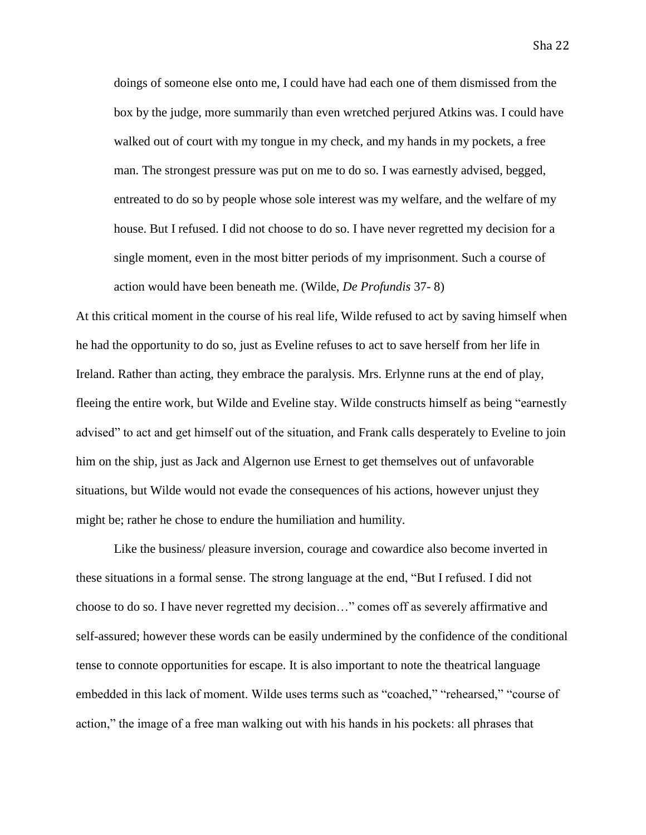doings of someone else onto me, I could have had each one of them dismissed from the box by the judge, more summarily than even wretched perjured Atkins was. I could have walked out of court with my tongue in my check, and my hands in my pockets, a free man. The strongest pressure was put on me to do so. I was earnestly advised, begged, entreated to do so by people whose sole interest was my welfare, and the welfare of my house. But I refused. I did not choose to do so. I have never regretted my decision for a single moment, even in the most bitter periods of my imprisonment. Such a course of action would have been beneath me. (Wilde, *De Profundis* 37- 8)

At this critical moment in the course of his real life, Wilde refused to act by saving himself when he had the opportunity to do so, just as Eveline refuses to act to save herself from her life in Ireland. Rather than acting, they embrace the paralysis. Mrs. Erlynne runs at the end of play, fleeing the entire work, but Wilde and Eveline stay. Wilde constructs himself as being "earnestly advised" to act and get himself out of the situation, and Frank calls desperately to Eveline to join him on the ship, just as Jack and Algernon use Ernest to get themselves out of unfavorable situations, but Wilde would not evade the consequences of his actions, however unjust they might be; rather he chose to endure the humiliation and humility.

Like the business/ pleasure inversion, courage and cowardice also become inverted in these situations in a formal sense. The strong language at the end, "But I refused. I did not choose to do so. I have never regretted my decision…" comes off as severely affirmative and self-assured; however these words can be easily undermined by the confidence of the conditional tense to connote opportunities for escape. It is also important to note the theatrical language embedded in this lack of moment. Wilde uses terms such as "coached," "rehearsed," "course of action," the image of a free man walking out with his hands in his pockets: all phrases that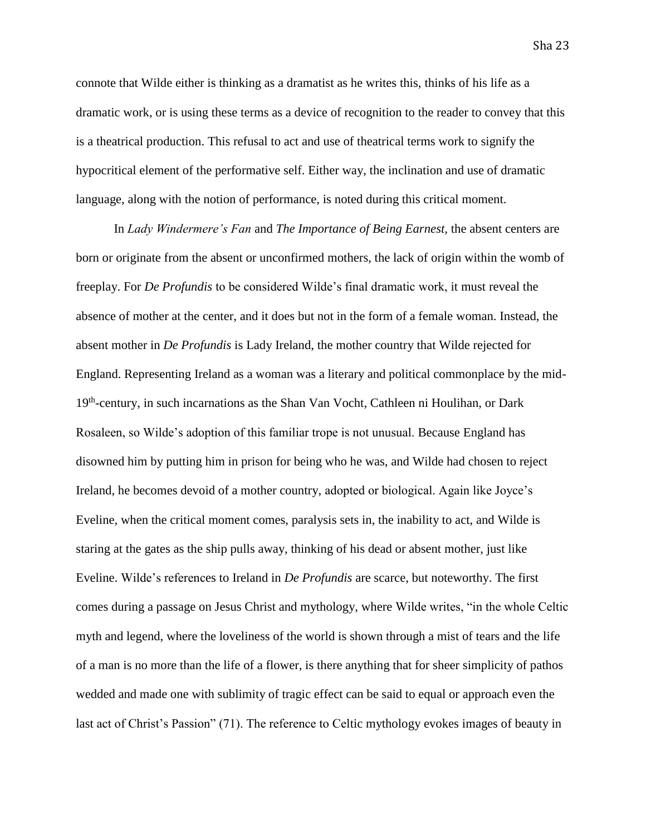connote that Wilde either is thinking as a dramatist as he writes this, thinks of his life as a dramatic work, or is using these terms as a device of recognition to the reader to convey that this is a theatrical production. This refusal to act and use of theatrical terms work to signify the hypocritical element of the performative self. Either way, the inclination and use of dramatic language, along with the notion of performance, is noted during this critical moment.

In *Lady Windermere's Fan* and *The Importance of Being Earnest,* the absent centers are born or originate from the absent or unconfirmed mothers, the lack of origin within the womb of freeplay. For *De Profundis* to be considered Wilde's final dramatic work, it must reveal the absence of mother at the center, and it does but not in the form of a female woman. Instead, the absent mother in *De Profundis* is Lady Ireland, the mother country that Wilde rejected for England. Representing Ireland as a woman was a literary and political commonplace by the mid-19<sup>th</sup>-century, in such incarnations as the Shan Van Vocht, Cathleen ni Houlihan, or Dark Rosaleen, so Wilde's adoption of this familiar trope is not unusual. Because England has disowned him by putting him in prison for being who he was, and Wilde had chosen to reject Ireland, he becomes devoid of a mother country, adopted or biological. Again like Joyce's Eveline, when the critical moment comes, paralysis sets in, the inability to act, and Wilde is staring at the gates as the ship pulls away, thinking of his dead or absent mother, just like Eveline. Wilde's references to Ireland in *De Profundis* are scarce, but noteworthy. The first comes during a passage on Jesus Christ and mythology, where Wilde writes, "in the whole Celtic myth and legend, where the loveliness of the world is shown through a mist of tears and the life of a man is no more than the life of a flower, is there anything that for sheer simplicity of pathos wedded and made one with sublimity of tragic effect can be said to equal or approach even the last act of Christ's Passion" (71). The reference to Celtic mythology evokes images of beauty in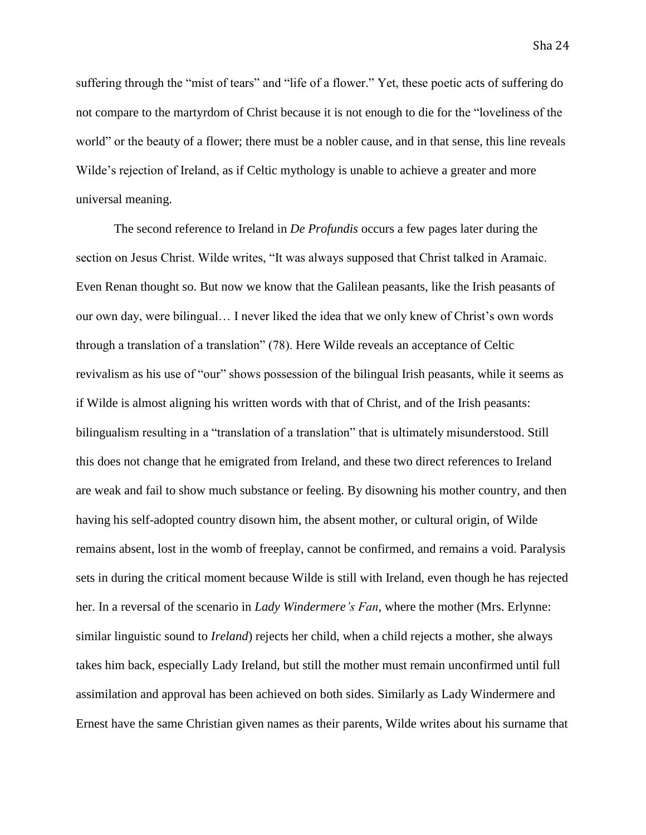suffering through the "mist of tears" and "life of a flower." Yet, these poetic acts of suffering do not compare to the martyrdom of Christ because it is not enough to die for the "loveliness of the world" or the beauty of a flower; there must be a nobler cause, and in that sense, this line reveals Wilde's rejection of Ireland, as if Celtic mythology is unable to achieve a greater and more universal meaning.

The second reference to Ireland in *De Profundis* occurs a few pages later during the section on Jesus Christ. Wilde writes, "It was always supposed that Christ talked in Aramaic. Even Renan thought so. But now we know that the Galilean peasants, like the Irish peasants of our own day, were bilingual… I never liked the idea that we only knew of Christ's own words through a translation of a translation" (78). Here Wilde reveals an acceptance of Celtic revivalism as his use of "our" shows possession of the bilingual Irish peasants, while it seems as if Wilde is almost aligning his written words with that of Christ, and of the Irish peasants: bilingualism resulting in a "translation of a translation" that is ultimately misunderstood. Still this does not change that he emigrated from Ireland, and these two direct references to Ireland are weak and fail to show much substance or feeling. By disowning his mother country, and then having his self-adopted country disown him, the absent mother, or cultural origin, of Wilde remains absent, lost in the womb of freeplay, cannot be confirmed, and remains a void. Paralysis sets in during the critical moment because Wilde is still with Ireland, even though he has rejected her. In a reversal of the scenario in *Lady Windermere's Fan,* where the mother (Mrs. Erlynne: similar linguistic sound to *Ireland*) rejects her child, when a child rejects a mother, she always takes him back, especially Lady Ireland, but still the mother must remain unconfirmed until full assimilation and approval has been achieved on both sides. Similarly as Lady Windermere and Ernest have the same Christian given names as their parents, Wilde writes about his surname that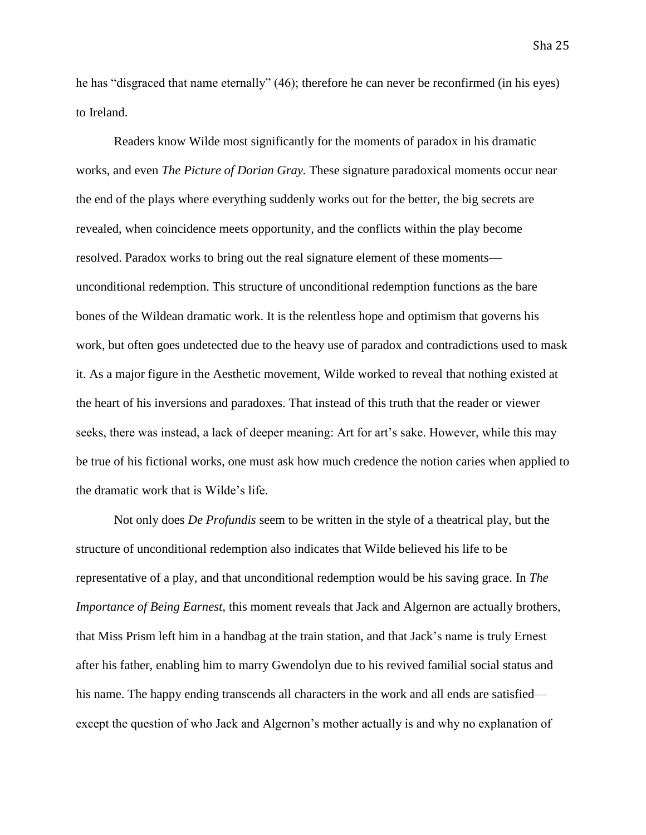he has "disgraced that name eternally" (46); therefore he can never be reconfirmed (in his eyes) to Ireland.

Readers know Wilde most significantly for the moments of paradox in his dramatic works, and even *The Picture of Dorian Gray.* These signature paradoxical moments occur near the end of the plays where everything suddenly works out for the better, the big secrets are revealed, when coincidence meets opportunity, and the conflicts within the play become resolved. Paradox works to bring out the real signature element of these moments unconditional redemption. This structure of unconditional redemption functions as the bare bones of the Wildean dramatic work. It is the relentless hope and optimism that governs his work, but often goes undetected due to the heavy use of paradox and contradictions used to mask it. As a major figure in the Aesthetic movement, Wilde worked to reveal that nothing existed at the heart of his inversions and paradoxes. That instead of this truth that the reader or viewer seeks, there was instead, a lack of deeper meaning: Art for art's sake. However, while this may be true of his fictional works, one must ask how much credence the notion caries when applied to the dramatic work that is Wilde's life.

Not only does *De Profundis* seem to be written in the style of a theatrical play, but the structure of unconditional redemption also indicates that Wilde believed his life to be representative of a play, and that unconditional redemption would be his saving grace. In *The Importance of Being Earnest,* this moment reveals that Jack and Algernon are actually brothers, that Miss Prism left him in a handbag at the train station, and that Jack's name is truly Ernest after his father, enabling him to marry Gwendolyn due to his revived familial social status and his name. The happy ending transcends all characters in the work and all ends are satisfied except the question of who Jack and Algernon's mother actually is and why no explanation of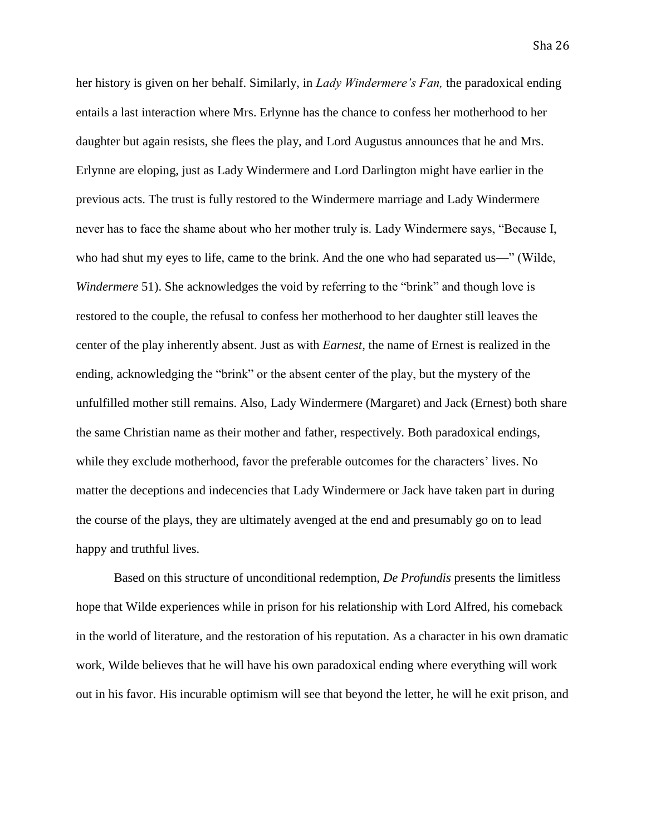her history is given on her behalf. Similarly, in *Lady Windermere's Fan,* the paradoxical ending entails a last interaction where Mrs. Erlynne has the chance to confess her motherhood to her daughter but again resists, she flees the play, and Lord Augustus announces that he and Mrs. Erlynne are eloping, just as Lady Windermere and Lord Darlington might have earlier in the previous acts. The trust is fully restored to the Windermere marriage and Lady Windermere never has to face the shame about who her mother truly is. Lady Windermere says, "Because I, who had shut my eyes to life, came to the brink. And the one who had separated us—" (Wilde, *Windermere* 51). She acknowledges the void by referring to the "brink" and though love is restored to the couple, the refusal to confess her motherhood to her daughter still leaves the center of the play inherently absent. Just as with *Earnest,* the name of Ernest is realized in the ending, acknowledging the "brink" or the absent center of the play, but the mystery of the unfulfilled mother still remains. Also, Lady Windermere (Margaret) and Jack (Ernest) both share the same Christian name as their mother and father, respectively. Both paradoxical endings, while they exclude motherhood, favor the preferable outcomes for the characters' lives. No matter the deceptions and indecencies that Lady Windermere or Jack have taken part in during the course of the plays, they are ultimately avenged at the end and presumably go on to lead happy and truthful lives.

Based on this structure of unconditional redemption, *De Profundis* presents the limitless hope that Wilde experiences while in prison for his relationship with Lord Alfred, his comeback in the world of literature, and the restoration of his reputation. As a character in his own dramatic work, Wilde believes that he will have his own paradoxical ending where everything will work out in his favor. His incurable optimism will see that beyond the letter, he will he exit prison, and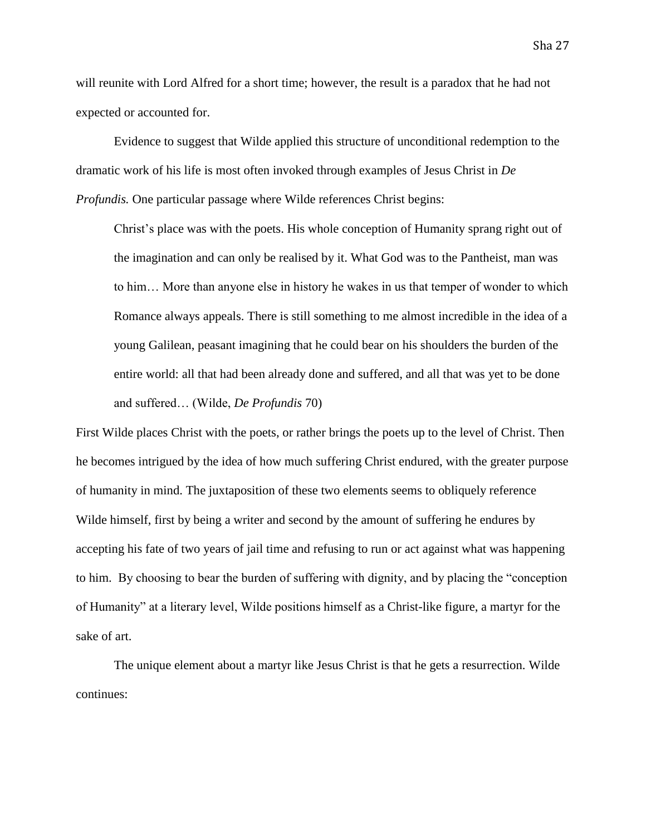will reunite with Lord Alfred for a short time; however, the result is a paradox that he had not expected or accounted for.

Evidence to suggest that Wilde applied this structure of unconditional redemption to the dramatic work of his life is most often invoked through examples of Jesus Christ in *De Profundis.* One particular passage where Wilde references Christ begins:

Christ's place was with the poets. His whole conception of Humanity sprang right out of the imagination and can only be realised by it. What God was to the Pantheist, man was to him… More than anyone else in history he wakes in us that temper of wonder to which Romance always appeals. There is still something to me almost incredible in the idea of a young Galilean, peasant imagining that he could bear on his shoulders the burden of the entire world: all that had been already done and suffered, and all that was yet to be done and suffered… (Wilde, *De Profundis* 70)

First Wilde places Christ with the poets, or rather brings the poets up to the level of Christ. Then he becomes intrigued by the idea of how much suffering Christ endured, with the greater purpose of humanity in mind. The juxtaposition of these two elements seems to obliquely reference Wilde himself, first by being a writer and second by the amount of suffering he endures by accepting his fate of two years of jail time and refusing to run or act against what was happening to him. By choosing to bear the burden of suffering with dignity, and by placing the "conception of Humanity" at a literary level, Wilde positions himself as a Christ-like figure, a martyr for the sake of art.

The unique element about a martyr like Jesus Christ is that he gets a resurrection. Wilde continues: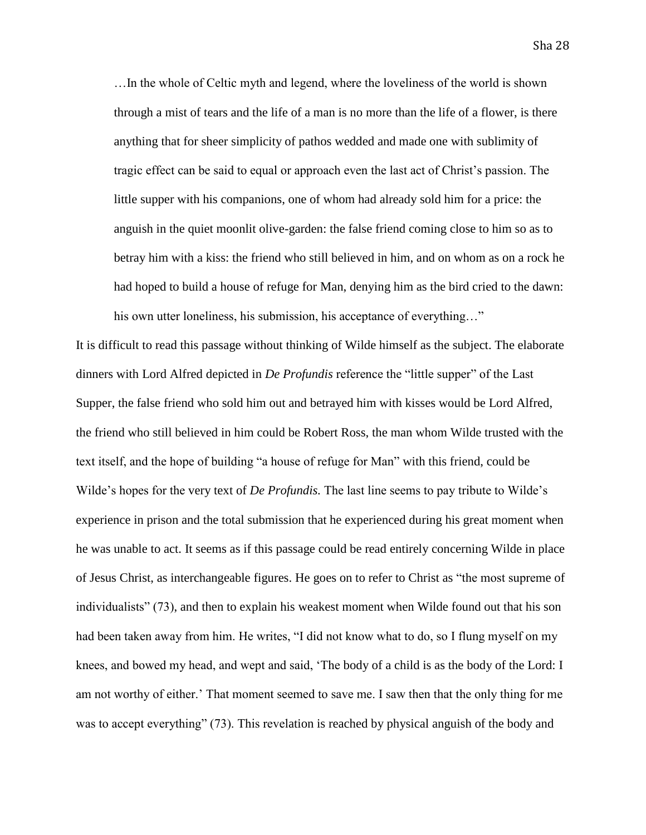Sha 28

…In the whole of Celtic myth and legend, where the loveliness of the world is shown through a mist of tears and the life of a man is no more than the life of a flower, is there anything that for sheer simplicity of pathos wedded and made one with sublimity of tragic effect can be said to equal or approach even the last act of Christ's passion. The little supper with his companions, one of whom had already sold him for a price: the anguish in the quiet moonlit olive-garden: the false friend coming close to him so as to betray him with a kiss: the friend who still believed in him, and on whom as on a rock he had hoped to build a house of refuge for Man, denying him as the bird cried to the dawn: his own utter loneliness, his submission, his acceptance of everything..."

It is difficult to read this passage without thinking of Wilde himself as the subject. The elaborate dinners with Lord Alfred depicted in *De Profundis* reference the "little supper" of the Last Supper, the false friend who sold him out and betrayed him with kisses would be Lord Alfred, the friend who still believed in him could be Robert Ross, the man whom Wilde trusted with the text itself, and the hope of building "a house of refuge for Man" with this friend, could be Wilde's hopes for the very text of *De Profundis.* The last line seems to pay tribute to Wilde's experience in prison and the total submission that he experienced during his great moment when he was unable to act. It seems as if this passage could be read entirely concerning Wilde in place of Jesus Christ, as interchangeable figures. He goes on to refer to Christ as "the most supreme of individualists" (73), and then to explain his weakest moment when Wilde found out that his son had been taken away from him. He writes, "I did not know what to do, so I flung myself on my knees, and bowed my head, and wept and said, 'The body of a child is as the body of the Lord: I am not worthy of either.' That moment seemed to save me. I saw then that the only thing for me was to accept everything" (73). This revelation is reached by physical anguish of the body and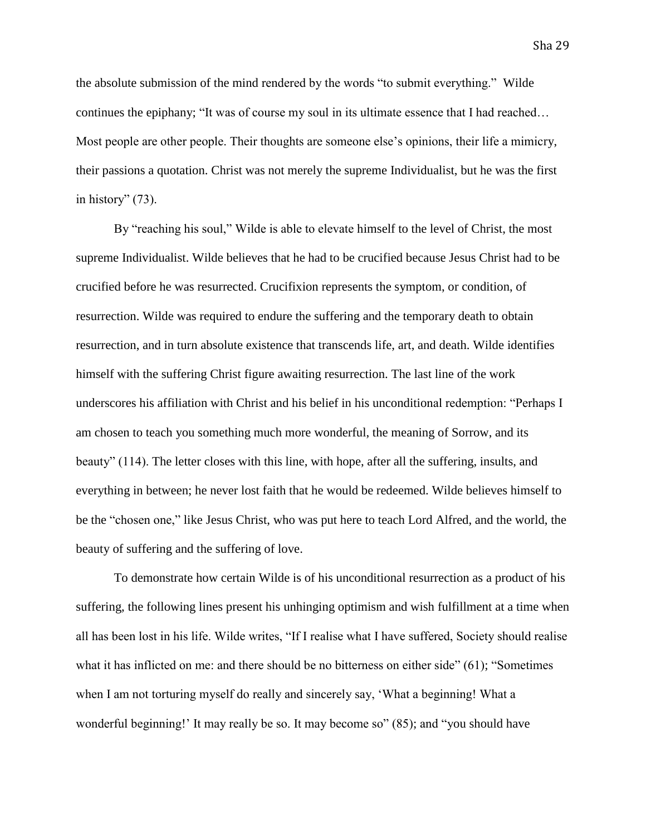the absolute submission of the mind rendered by the words "to submit everything." Wilde continues the epiphany; "It was of course my soul in its ultimate essence that I had reached… Most people are other people. Their thoughts are someone else's opinions, their life a mimicry, their passions a quotation. Christ was not merely the supreme Individualist, but he was the first in history" (73).

By "reaching his soul," Wilde is able to elevate himself to the level of Christ, the most supreme Individualist. Wilde believes that he had to be crucified because Jesus Christ had to be crucified before he was resurrected. Crucifixion represents the symptom, or condition, of resurrection. Wilde was required to endure the suffering and the temporary death to obtain resurrection, and in turn absolute existence that transcends life, art, and death. Wilde identifies himself with the suffering Christ figure awaiting resurrection. The last line of the work underscores his affiliation with Christ and his belief in his unconditional redemption: "Perhaps I am chosen to teach you something much more wonderful, the meaning of Sorrow, and its beauty" (114). The letter closes with this line, with hope, after all the suffering, insults, and everything in between; he never lost faith that he would be redeemed. Wilde believes himself to be the "chosen one," like Jesus Christ, who was put here to teach Lord Alfred, and the world, the beauty of suffering and the suffering of love.

To demonstrate how certain Wilde is of his unconditional resurrection as a product of his suffering, the following lines present his unhinging optimism and wish fulfillment at a time when all has been lost in his life. Wilde writes, "If I realise what I have suffered, Society should realise what it has inflicted on me: and there should be no bitterness on either side" (61); "Sometimes" when I am not torturing myself do really and sincerely say, 'What a beginning! What a wonderful beginning!' It may really be so. It may become so" (85); and "you should have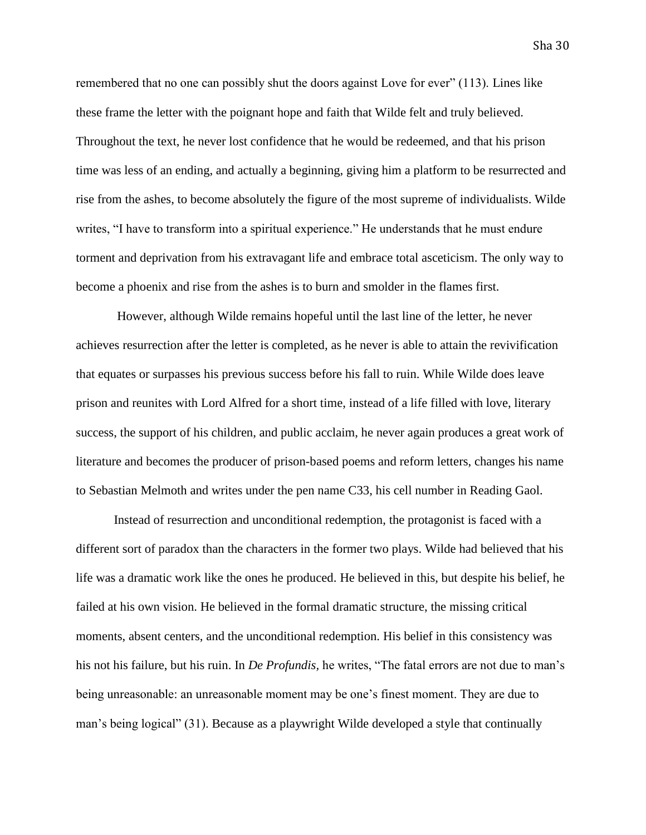Sha 30

remembered that no one can possibly shut the doors against Love for ever" (113). Lines like these frame the letter with the poignant hope and faith that Wilde felt and truly believed. Throughout the text, he never lost confidence that he would be redeemed, and that his prison time was less of an ending, and actually a beginning, giving him a platform to be resurrected and rise from the ashes, to become absolutely the figure of the most supreme of individualists. Wilde writes, "I have to transform into a spiritual experience." He understands that he must endure torment and deprivation from his extravagant life and embrace total asceticism. The only way to become a phoenix and rise from the ashes is to burn and smolder in the flames first.

However, although Wilde remains hopeful until the last line of the letter, he never achieves resurrection after the letter is completed*,* as he never is able to attain the revivification that equates or surpasses his previous success before his fall to ruin. While Wilde does leave prison and reunites with Lord Alfred for a short time, instead of a life filled with love, literary success, the support of his children, and public acclaim, he never again produces a great work of literature and becomes the producer of prison-based poems and reform letters, changes his name to Sebastian Melmoth and writes under the pen name C33, his cell number in Reading Gaol.

Instead of resurrection and unconditional redemption, the protagonist is faced with a different sort of paradox than the characters in the former two plays. Wilde had believed that his life was a dramatic work like the ones he produced. He believed in this, but despite his belief, he failed at his own vision. He believed in the formal dramatic structure, the missing critical moments, absent centers, and the unconditional redemption. His belief in this consistency was his not his failure, but his ruin. In *De Profundis,* he writes, "The fatal errors are not due to man's being unreasonable: an unreasonable moment may be one's finest moment. They are due to man's being logical" (31). Because as a playwright Wilde developed a style that continually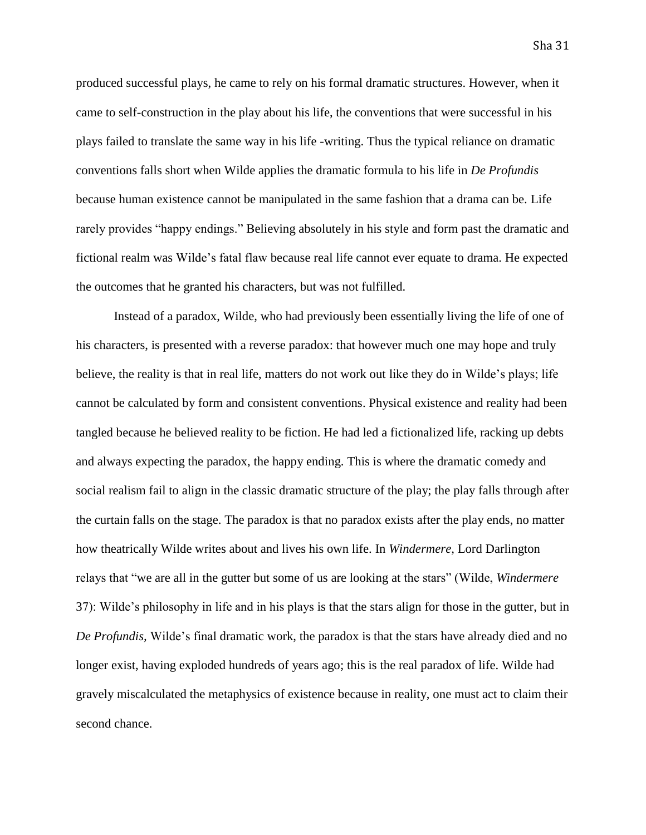Sha 31

produced successful plays, he came to rely on his formal dramatic structures. However, when it came to self-construction in the play about his life, the conventions that were successful in his plays failed to translate the same way in his life -writing. Thus the typical reliance on dramatic conventions falls short when Wilde applies the dramatic formula to his life in *De Profundis* because human existence cannot be manipulated in the same fashion that a drama can be. Life rarely provides "happy endings." Believing absolutely in his style and form past the dramatic and fictional realm was Wilde's fatal flaw because real life cannot ever equate to drama. He expected the outcomes that he granted his characters, but was not fulfilled.

Instead of a paradox, Wilde, who had previously been essentially living the life of one of his characters, is presented with a reverse paradox: that however much one may hope and truly believe, the reality is that in real life, matters do not work out like they do in Wilde's plays; life cannot be calculated by form and consistent conventions. Physical existence and reality had been tangled because he believed reality to be fiction. He had led a fictionalized life, racking up debts and always expecting the paradox, the happy ending. This is where the dramatic comedy and social realism fail to align in the classic dramatic structure of the play; the play falls through after the curtain falls on the stage. The paradox is that no paradox exists after the play ends, no matter how theatrically Wilde writes about and lives his own life. In *Windermere,* Lord Darlington relays that "we are all in the gutter but some of us are looking at the stars" (Wilde, *Windermere* 37): Wilde's philosophy in life and in his plays is that the stars align for those in the gutter, but in *De Profundis,* Wilde's final dramatic work, the paradox is that the stars have already died and no longer exist, having exploded hundreds of years ago; this is the real paradox of life. Wilde had gravely miscalculated the metaphysics of existence because in reality, one must act to claim their second chance.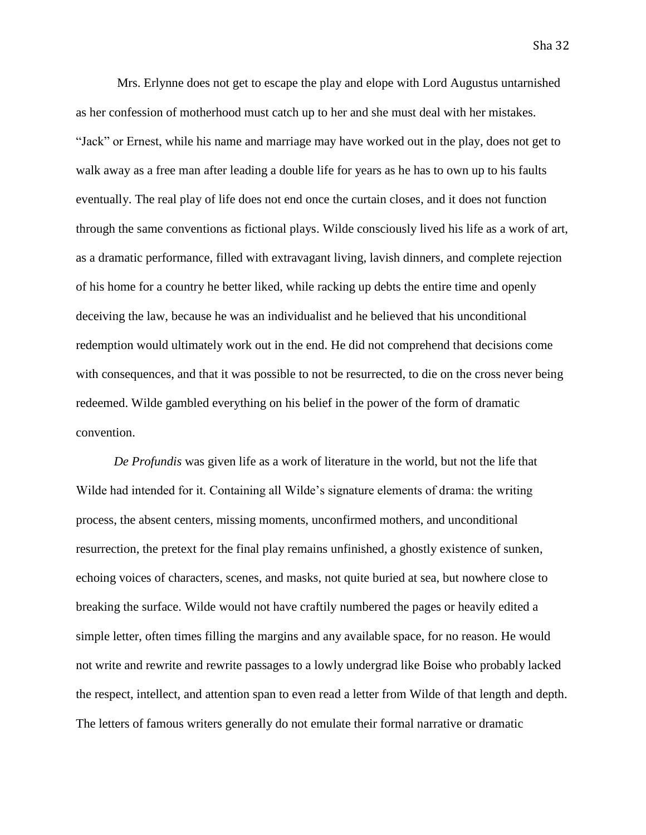Mrs. Erlynne does not get to escape the play and elope with Lord Augustus untarnished as her confession of motherhood must catch up to her and she must deal with her mistakes. "Jack" or Ernest, while his name and marriage may have worked out in the play, does not get to walk away as a free man after leading a double life for years as he has to own up to his faults eventually. The real play of life does not end once the curtain closes, and it does not function through the same conventions as fictional plays. Wilde consciously lived his life as a work of art, as a dramatic performance, filled with extravagant living, lavish dinners, and complete rejection of his home for a country he better liked, while racking up debts the entire time and openly deceiving the law, because he was an individualist and he believed that his unconditional redemption would ultimately work out in the end. He did not comprehend that decisions come with consequences, and that it was possible to not be resurrected, to die on the cross never being redeemed. Wilde gambled everything on his belief in the power of the form of dramatic convention.

*De Profundis* was given life as a work of literature in the world, but not the life that Wilde had intended for it. Containing all Wilde's signature elements of drama: the writing process, the absent centers, missing moments, unconfirmed mothers, and unconditional resurrection, the pretext for the final play remains unfinished, a ghostly existence of sunken, echoing voices of characters, scenes, and masks, not quite buried at sea, but nowhere close to breaking the surface. Wilde would not have craftily numbered the pages or heavily edited a simple letter, often times filling the margins and any available space, for no reason. He would not write and rewrite and rewrite passages to a lowly undergrad like Boise who probably lacked the respect, intellect, and attention span to even read a letter from Wilde of that length and depth. The letters of famous writers generally do not emulate their formal narrative or dramatic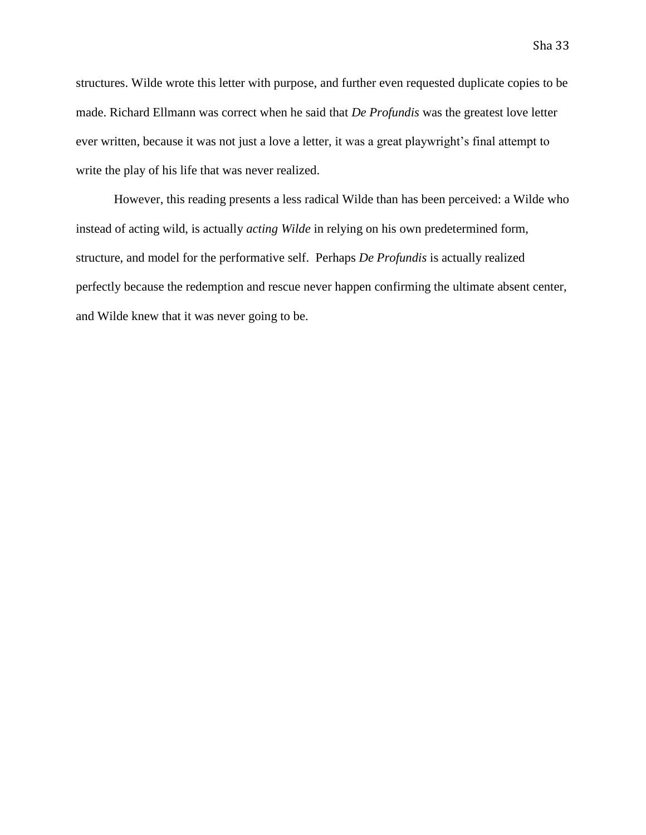structures. Wilde wrote this letter with purpose, and further even requested duplicate copies to be made. Richard Ellmann was correct when he said that *De Profundis* was the greatest love letter ever written, because it was not just a love a letter, it was a great playwright's final attempt to write the play of his life that was never realized.

However, this reading presents a less radical Wilde than has been perceived: a Wilde who instead of acting wild, is actually *acting Wilde* in relying on his own predetermined form, structure, and model for the performative self. Perhaps *De Profundis* is actually realized perfectly because the redemption and rescue never happen confirming the ultimate absent center, and Wilde knew that it was never going to be.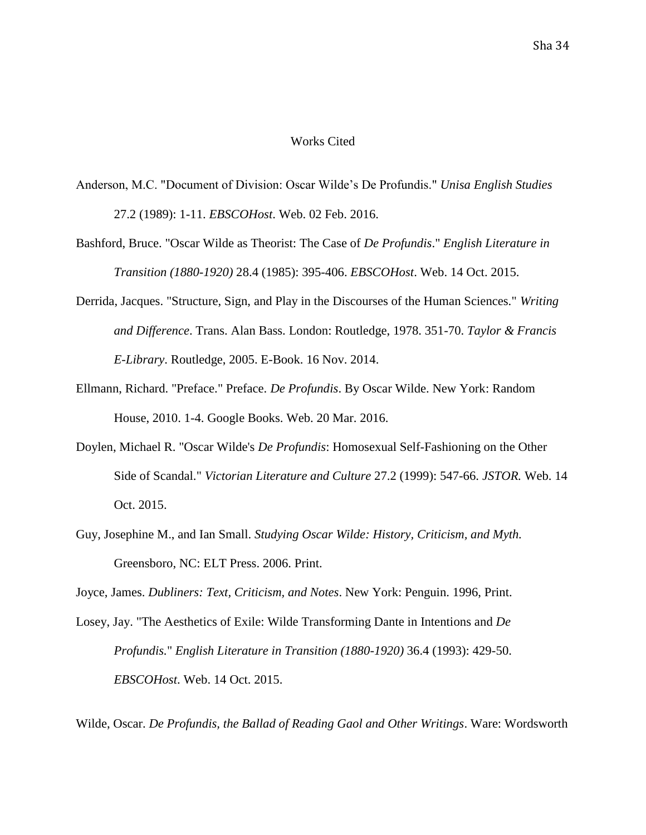## Works Cited

- Anderson, M.C. "Document of Division: Oscar Wilde's De Profundis." *Unisa English Studies* 27.2 (1989): 1-11. *EBSCOHost*. Web. 02 Feb. 2016.
- Bashford, Bruce. "Oscar Wilde as Theorist: The Case of *De Profundis*." *English Literature in Transition (1880-1920)* 28.4 (1985): 395-406. *EBSCOHost*. Web. 14 Oct. 2015.
- Derrida, Jacques. "Structure, Sign, and Play in the Discourses of the Human Sciences." *Writing and Difference*. Trans. Alan Bass. London: Routledge, 1978. 351-70. *Taylor & Francis E-Library*. Routledge, 2005. E-Book. 16 Nov. 2014.
- Ellmann, Richard. "Preface." Preface. *De Profundis*. By Oscar Wilde. New York: Random House, 2010. 1-4. Google Books. Web. 20 Mar. 2016.
- Doylen, Michael R. "Oscar Wilde's *De Profundis*: Homosexual Self-Fashioning on the Other Side of Scandal." *Victorian Literature and Culture* 27.2 (1999): 547-66. *JSTOR.* Web. 14 Oct. 2015.
- Guy, Josephine M., and Ian Small. *Studying Oscar Wilde: History, Criticism, and Myth.*  Greensboro, NC: ELT Press. 2006. Print.

Joyce, James. *Dubliners: Text, Criticism, and Notes*. New York: Penguin. 1996, Print.

Losey, Jay. "The Aesthetics of Exile: Wilde Transforming Dante in Intentions and *De Profundis.*" *English Literature in Transition (1880-1920)* 36.4 (1993): 429-50. *EBSCOHost*. Web. 14 Oct. 2015.

Wilde, Oscar. *De Profundis, the Ballad of Reading Gaol and Other Writings*. Ware: Wordsworth